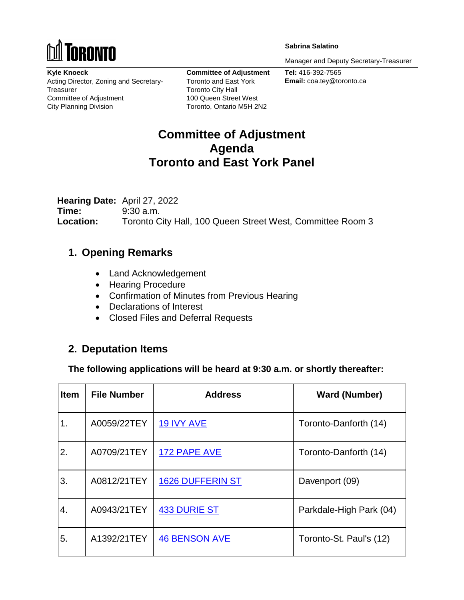

**Sabrina Salatino**

Manager and Deputy Secretary-Treasurer

**Kyle Knoeck** Acting Director, Zoning and Secretary-Treasurer Committee of Adjustment City Planning Division

**Committee of Adjustment** Toronto and East York Toronto City Hall 100 Queen Street West Toronto, Ontario M5H 2N2

**Tel:** 416-392-7565 **Email:** coa.tey@toronto.ca

# **Committee of Adjustment Agenda Toronto and East York Panel**

**Hearing Date:** April 27, 2022 **Time:** 9:30 a.m. **Location:** Toronto City Hall, 100 Queen Street West, Committee Room 3

# **1. Opening Remarks**

- Land Acknowledgement
- Hearing Procedure
- Confirmation of Minutes from Previous Hearing
- Declarations of Interest
- Closed Files and Deferral Requests

# **2. Deputation Items**

**The following applications will be heard at 9:30 a.m. or shortly thereafter:**

| <b>Item</b> | <b>File Number</b> | <b>Address</b>          | <b>Ward (Number)</b>    |
|-------------|--------------------|-------------------------|-------------------------|
| 1.          | A0059/22TEY        | <b>19 IVY AVE</b>       | Toronto-Danforth (14)   |
| 2.          | A0709/21TEY        | 172 PAPE AVE            | Toronto-Danforth (14)   |
| 3.          | A0812/21TEY        | <b>1626 DUFFERIN ST</b> | Davenport (09)          |
| 4.          | A0943/21TEY        | 433 DURIE ST            | Parkdale-High Park (04) |
| 5.          | A1392/21TEY        | <b>46 BENSON AVE</b>    | Toronto-St. Paul's (12) |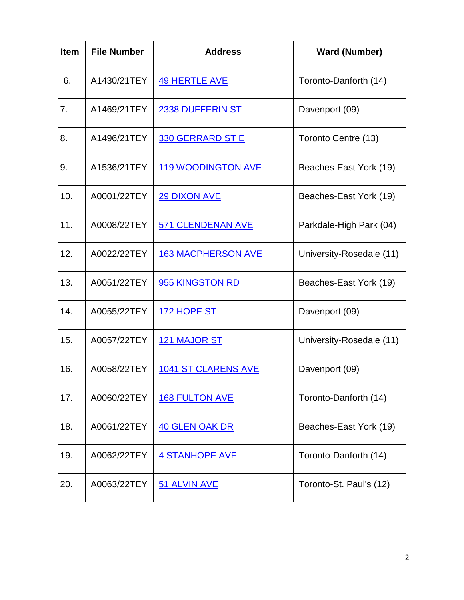| <b>Item</b> | <b>File Number</b> | <b>Address</b>             | <b>Ward (Number)</b>     |
|-------------|--------------------|----------------------------|--------------------------|
| 6.          | A1430/21TEY        | 49 HERTLE AVE              | Toronto-Danforth (14)    |
| 7.          | A1469/21TEY        | <b>2338 DUFFERIN ST</b>    | Davenport (09)           |
| 8.          | A1496/21TEY        | 330 GERRARD ST E           | Toronto Centre (13)      |
| 9.          | A1536/21TEY        | <b>119 WOODINGTON AVE</b>  | Beaches-East York (19)   |
| 10.         | A0001/22TEY        | <b>29 DIXON AVE</b>        | Beaches-East York (19)   |
| 11.         | A0008/22TEY        | 571 CLENDENAN AVE          | Parkdale-High Park (04)  |
| 12.         | A0022/22TEY        | <b>163 MACPHERSON AVE</b>  | University-Rosedale (11) |
| 13.         | A0051/22TEY        | 955 KINGSTON RD            | Beaches-East York (19)   |
| 14.         | A0055/22TEY        | 172 HOPE ST                | Davenport (09)           |
| 15.         | A0057/22TEY        | <b>121 MAJOR ST</b>        | University-Rosedale (11) |
| 16.         | A0058/22TEY        | <b>1041 ST CLARENS AVE</b> | Davenport (09)           |
| 17.         | A0060/22TEY        | <b>168 FULTON AVE</b>      | Toronto-Danforth (14)    |
| 18.         | A0061/22TEY        | <b>40 GLEN OAK DR</b>      | Beaches-East York (19)   |
| 19.         | A0062/22TEY        | <b>4 STANHOPE AVE</b>      | Toronto-Danforth (14)    |
| 20.         | A0063/22TEY        | 51 ALVIN AVE               | Toronto-St. Paul's (12)  |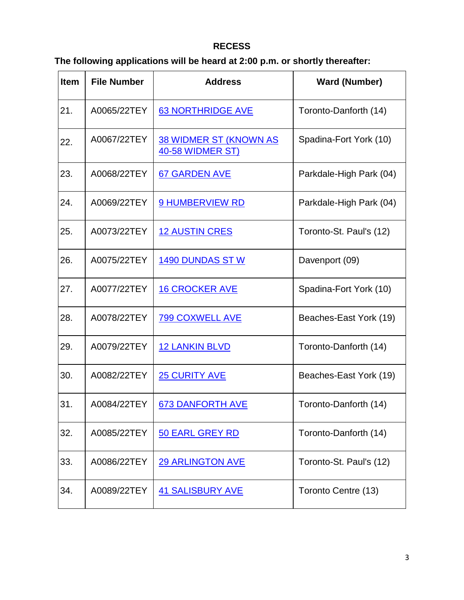## **RECESS**

# **The following applications will be heard at 2:00 p.m. or shortly thereafter:**

| <b>Item</b> | <b>File Number</b> | <b>Address</b>                                    | <b>Ward (Number)</b>    |
|-------------|--------------------|---------------------------------------------------|-------------------------|
| 21.         | A0065/22TEY        | <b>63 NORTHRIDGE AVE</b>                          | Toronto-Danforth (14)   |
| 22.         | A0067/22TEY        | <b>38 WIDMER ST (KNOWN AS</b><br>40-58 WIDMER ST) | Spadina-Fort York (10)  |
| 23.         | A0068/22TEY        | <b>67 GARDEN AVE</b>                              | Parkdale-High Park (04) |
| 24.         | A0069/22TEY        | <b>9 HUMBERVIEW RD</b>                            | Parkdale-High Park (04) |
| 25.         | A0073/22TEY        | <b>12 AUSTIN CRES</b>                             | Toronto-St. Paul's (12) |
| 26.         | A0075/22TEY        | <b>1490 DUNDAS ST W</b>                           | Davenport (09)          |
| 27.         | A0077/22TEY        | <b>16 CROCKER AVE</b>                             | Spadina-Fort York (10)  |
| 28.         | A0078/22TEY        | <b>799 COXWELL AVE</b>                            | Beaches-East York (19)  |
| 29.         | A0079/22TEY        | <b>12 LANKIN BLVD</b>                             | Toronto-Danforth (14)   |
| 30.         | A0082/22TEY        | <b>25 CURITY AVE</b>                              | Beaches-East York (19)  |
| 31.         | A0084/22TEY        | <b>673 DANFORTH AVE</b>                           | Toronto-Danforth (14)   |
| 32.         | A0085/22TEY        | <b>50 EARL GREY RD</b>                            | Toronto-Danforth (14)   |
| 33.         | A0086/22TEY        | <b>29 ARLINGTON AVE</b>                           | Toronto-St. Paul's (12) |
| 34.         | A0089/22TEY        | <b>41 SALISBURY AVE</b>                           | Toronto Centre (13)     |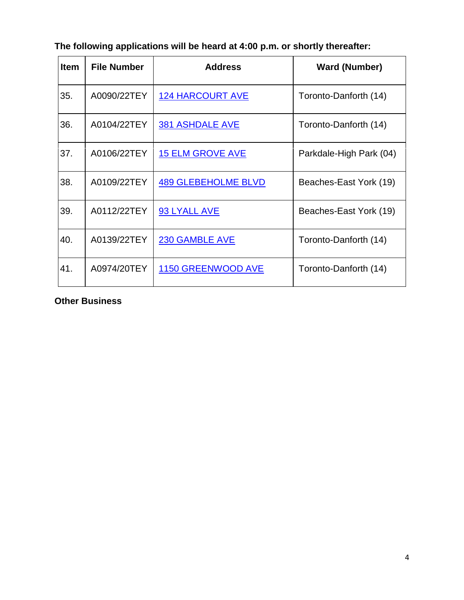| <b>Item</b> | <b>File Number</b> | <b>Address</b>             | <b>Ward (Number)</b>    |
|-------------|--------------------|----------------------------|-------------------------|
| 35.         | A0090/22TEY        | <b>124 HARCOURT AVE</b>    | Toronto-Danforth (14)   |
| 36.         | A0104/22TEY        | <b>381 ASHDALE AVE</b>     | Toronto-Danforth (14)   |
| 37.         | A0106/22TEY        | <b>15 ELM GROVE AVE</b>    | Parkdale-High Park (04) |
| 38.         | A0109/22TEY        | <b>489 GLEBEHOLME BLVD</b> | Beaches-East York (19)  |
| 39.         | A0112/22TEY        | 93 LYALL AVE               | Beaches-East York (19)  |
| 40.         | A0139/22TEY        | <b>230 GAMBLE AVE</b>      | Toronto-Danforth (14)   |
| 41.         | A0974/20TEY        | 1150 GREENWOOD AVE         | Toronto-Danforth (14)   |

**The following applications will be heard at 4:00 p.m. or shortly thereafter:**

### **Other Business**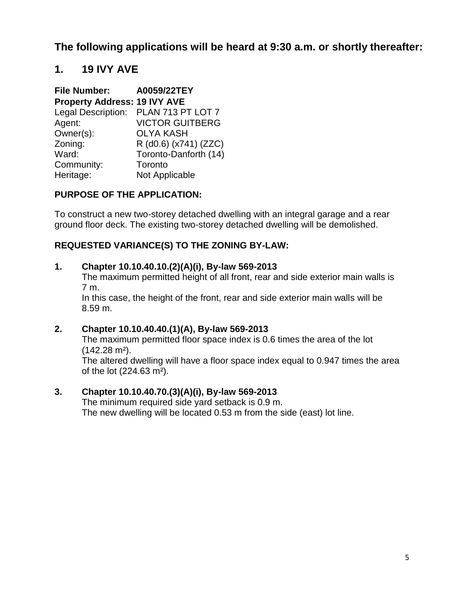**The following applications will be heard at 9:30 a.m. or shortly thereafter:**

## **1. 19 IVY AVE**

| <b>File Number:</b>                 | A0059/22TEY            |
|-------------------------------------|------------------------|
| <b>Property Address: 19 IVY AVE</b> |                        |
| Legal Description:                  | PLAN 713 PT LOT 7      |
| Agent:                              | <b>VICTOR GUITBERG</b> |
| Owner(s):                           | <b>OLYA KASH</b>       |
| Zoning:                             | R (d0.6) (x741) (ZZC)  |
| Ward:                               | Toronto-Danforth (14)  |
| Community:                          | Toronto                |
| Heritage:                           | Not Applicable         |

### **PURPOSE OF THE APPLICATION:**

To construct a new two-storey detached dwelling with an integral garage and a rear ground floor deck. The existing two-storey detached dwelling will be demolished.

## **REQUESTED VARIANCE(S) TO THE ZONING BY-LAW:**

#### **1. Chapter 10.10.40.10.(2)(A)(i), By-law 569-2013**

The maximum permitted height of all front, rear and side exterior main walls is 7 m.

In this case, the height of the front, rear and side exterior main walls will be 8.59 m.

#### **2. Chapter 10.10.40.40.(1)(A), By-law 569-2013**

The maximum permitted floor space index is 0.6 times the area of the lot (142.28 m²).

The altered dwelling will have a floor space index equal to 0.947 times the area of the lot (224.63 m²).

#### **3. Chapter 10.10.40.70.(3)(A)(i), By-law 569-2013**

The minimum required side yard setback is 0.9 m. The new dwelling will be located 0.53 m from the side (east) lot line.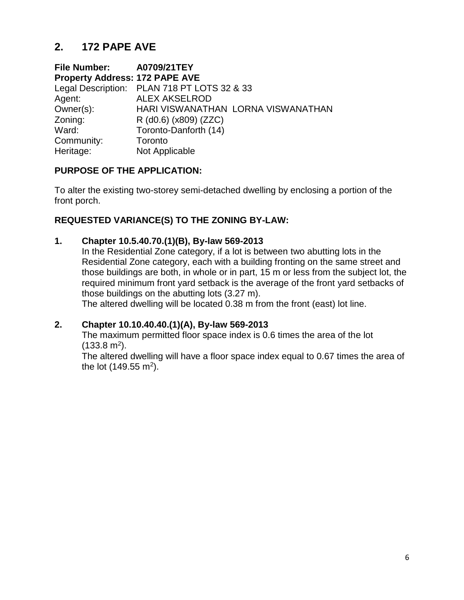# **2. 172 PAPE AVE**

**File Number: A0709/21TEY Property Address: 172 PAPE AVE**  Legal Description: PLAN 718 PT LOTS 32 & 33 Agent: ALEX AKSELROD Owner(s): HARI VISWANATHAN LORNA VISWANATHAN Zoning: R (d0.6) (x809) (ZZC) Ward: Toronto-Danforth (14) Community: Toronto Heritage: Not Applicable

## **PURPOSE OF THE APPLICATION:**

To alter the existing two-storey semi-detached dwelling by enclosing a portion of the front porch.

## **REQUESTED VARIANCE(S) TO THE ZONING BY-LAW:**

### **1. Chapter 10.5.40.70.(1)(B), By-law 569-2013**

In the Residential Zone category, if a lot is between two abutting lots in the Residential Zone category, each with a building fronting on the same street and those buildings are both, in whole or in part, 15 m or less from the subject lot, the required minimum front yard setback is the average of the front yard setbacks of those buildings on the abutting lots (3.27 m).

The altered dwelling will be located 0.38 m from the front (east) lot line.

## **2. Chapter 10.10.40.40.(1)(A), By-law 569-2013**

The maximum permitted floor space index is 0.6 times the area of the lot  $(133.8 \text{ m}^2).$ 

The altered dwelling will have a floor space index equal to 0.67 times the area of the lot (149.55 m<sup>2</sup>).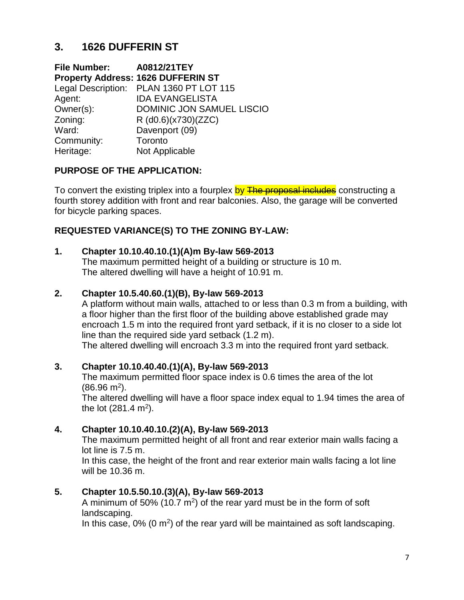# **3. 1626 DUFFERIN ST**

**File Number: A0812/21TEY Property Address: 1626 DUFFERIN ST** Legal Description: PLAN 1360 PT LOT 115 Agent: IDA EVANGELISTA Owner(s): DOMINIC JON SAMUEL LISCIO Zoning: R (d0.6)(x730)(ZZC) Ward: Davenport (09) Community: Toronto Heritage: Not Applicable

## **PURPOSE OF THE APPLICATION:**

To convert the existing triplex into a fourplex by The proposal includes constructing a fourth storey addition with front and rear balconies. Also, the garage will be converted for bicycle parking spaces.

## **REQUESTED VARIANCE(S) TO THE ZONING BY-LAW:**

#### **1. Chapter 10.10.40.10.(1)(A)m By-law 569-2013**

The maximum permitted height of a building or structure is 10 m. The altered dwelling will have a height of 10.91 m.

#### **2. Chapter 10.5.40.60.(1)(B), By-law 569-2013**

A platform without main walls, attached to or less than 0.3 m from a building, with a floor higher than the first floor of the building above established grade may encroach 1.5 m into the required front yard setback, if it is no closer to a side lot line than the required side yard setback (1.2 m).

The altered dwelling will encroach 3.3 m into the required front yard setback.

#### **3. Chapter 10.10.40.40.(1)(A), By-law 569-2013**

The maximum permitted floor space index is 0.6 times the area of the lot  $(86.96 \text{ m}^2).$ 

The altered dwelling will have a floor space index equal to 1.94 times the area of the lot  $(281.4 \text{ m}^2)$ .

## **4. Chapter 10.10.40.10.(2)(A), By-law 569-2013**

The maximum permitted height of all front and rear exterior main walls facing a lot line is 7.5 m.

In this case, the height of the front and rear exterior main walls facing a lot line will be 10.36 m.

## **5. Chapter 10.5.50.10.(3)(A), By-law 569-2013**

A minimum of 50% (10.7  $m^2$ ) of the rear yard must be in the form of soft landscaping.

In this case,  $0\%$  (0 m<sup>2</sup>) of the rear yard will be maintained as soft landscaping.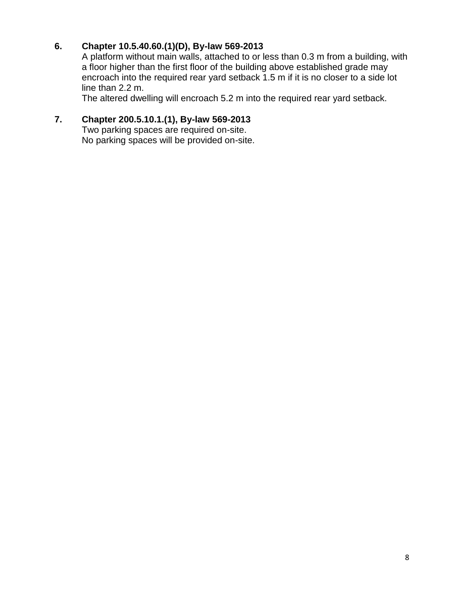## **6. Chapter 10.5.40.60.(1)(D), By-law 569-2013**

A platform without main walls, attached to or less than 0.3 m from a building, with a floor higher than the first floor of the building above established grade may encroach into the required rear yard setback 1.5 m if it is no closer to a side lot line than 2.2 m.

The altered dwelling will encroach 5.2 m into the required rear yard setback.

## **7. Chapter 200.5.10.1.(1), By-law 569-2013**

Two parking spaces are required on-site. No parking spaces will be provided on-site.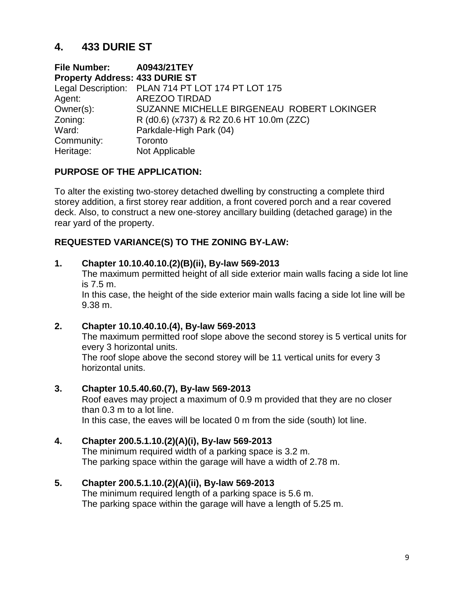# **4. 433 DURIE ST**

**File Number: A0943/21TEY Property Address: 433 DURIE ST**  Legal Description: PLAN 714 PT LOT 174 PT LOT 175 Agent: AREZOO TIRDAD Owner(s): SUZANNE MICHELLE BIRGENEAU ROBERT LOKINGER Zoning: R (d0.6) (x737) & R2 Z0.6 HT 10.0m (ZZC) Ward: Parkdale-High Park (04) Community: Toronto Heritage: Not Applicable

## **PURPOSE OF THE APPLICATION:**

To alter the existing two-storey detached dwelling by constructing a complete third storey addition, a first storey rear addition, a front covered porch and a rear covered deck. Also, to construct a new one-storey ancillary building (detached garage) in the rear yard of the property.

### **REQUESTED VARIANCE(S) TO THE ZONING BY-LAW:**

#### **1. Chapter 10.10.40.10.(2)(B)(ii), By-law 569-2013**

The maximum permitted height of all side exterior main walls facing a side lot line is 7.5 m.

In this case, the height of the side exterior main walls facing a side lot line will be 9.38 m.

#### **2. Chapter 10.10.40.10.(4), By-law 569-2013**

The maximum permitted roof slope above the second storey is 5 vertical units for every 3 horizontal units.

The roof slope above the second storey will be 11 vertical units for every 3 horizontal units.

#### **3. Chapter 10.5.40.60.(7), By-law 569-2013**

Roof eaves may project a maximum of 0.9 m provided that they are no closer than 0.3 m to a lot line. In this case, the eaves will be located 0 m from the side (south) lot line.

#### **4. Chapter 200.5.1.10.(2)(A)(i), By-law 569-2013**

The minimum required width of a parking space is 3.2 m. The parking space within the garage will have a width of 2.78 m.

#### **5. Chapter 200.5.1.10.(2)(A)(ii), By-law 569-2013**

The minimum required length of a parking space is 5.6 m. The parking space within the garage will have a length of 5.25 m.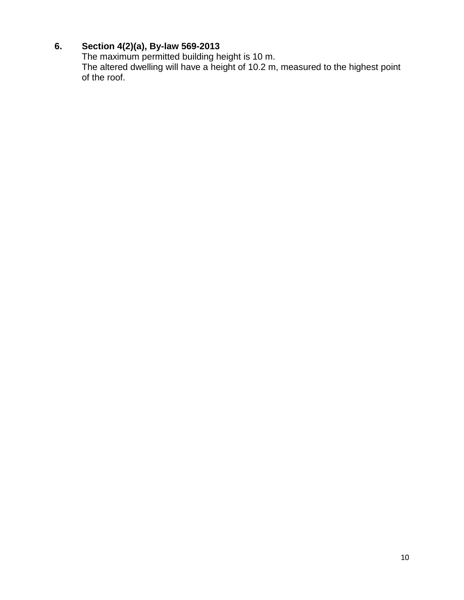## **6. Section 4(2)(a), By-law 569-2013**

The maximum permitted building height is 10 m. The altered dwelling will have a height of 10.2 m, measured to the highest point of the roof.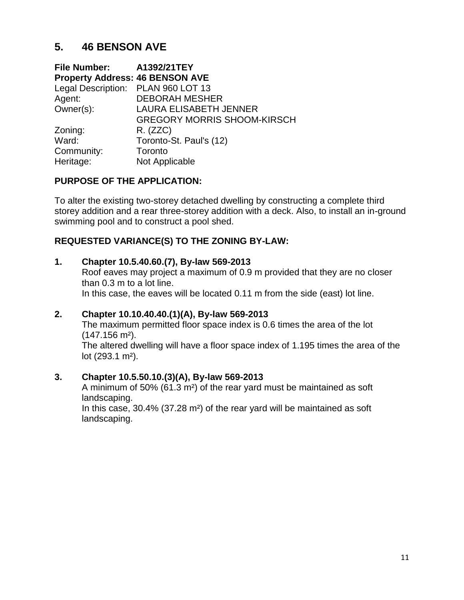# **5. 46 BENSON AVE**

| File Number: A1392/21TEY               |                                    |
|----------------------------------------|------------------------------------|
| <b>Property Address: 46 BENSON AVE</b> |                                    |
| Legal Description: PLAN 960 LOT 13     |                                    |
| Agent:                                 | <b>DEBORAH MESHER</b>              |
| Owner(s):                              | <b>LAURA ELISABETH JENNER</b>      |
|                                        | <b>GREGORY MORRIS SHOOM-KIRSCH</b> |
| Zoning:                                | R. (ZZC)                           |
| Ward:                                  | Toronto-St. Paul's (12)            |
| Community:                             | Toronto                            |
| Heritage:                              | Not Applicable                     |

### **PURPOSE OF THE APPLICATION:**

To alter the existing two-storey detached dwelling by constructing a complete third storey addition and a rear three-storey addition with a deck. Also, to install an in-ground swimming pool and to construct a pool shed.

## **REQUESTED VARIANCE(S) TO THE ZONING BY-LAW:**

#### **1. Chapter 10.5.40.60.(7), By-law 569-2013**

Roof eaves may project a maximum of 0.9 m provided that they are no closer than 0.3 m to a lot line. In this case, the eaves will be located 0.11 m from the side (east) lot line.

#### **2. Chapter 10.10.40.40.(1)(A), By-law 569-2013**

The maximum permitted floor space index is 0.6 times the area of the lot (147.156 m²).

The altered dwelling will have a floor space index of 1.195 times the area of the lot (293.1 m²).

#### **3. Chapter 10.5.50.10.(3)(A), By-law 569-2013**

A minimum of 50% (61.3 m²) of the rear yard must be maintained as soft landscaping.

In this case, 30.4% (37.28 m²) of the rear yard will be maintained as soft landscaping.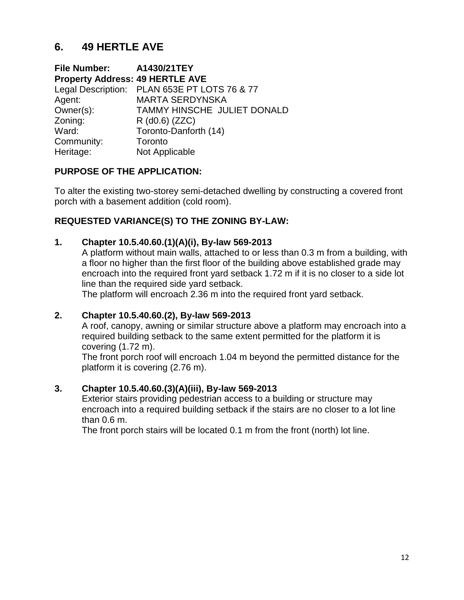# **6. 49 HERTLE AVE**

**File Number: A1430/21TEY Property Address: 49 HERTLE AVE**  Legal Description: PLAN 653E PT LOTS 76 & 77 Agent: MARTA SERDYNSKA Owner(s): TAMMY HINSCHE JULIET DONALD Zoning: R (d0.6) (ZZC) Ward: Toronto-Danforth (14) Community: Toronto Heritage: Not Applicable

### **PURPOSE OF THE APPLICATION:**

To alter the existing two-storey semi-detached dwelling by constructing a covered front porch with a basement addition (cold room).

### **REQUESTED VARIANCE(S) TO THE ZONING BY-LAW:**

#### **1. Chapter 10.5.40.60.(1)(A)(i), By-law 569-2013**

A platform without main walls, attached to or less than 0.3 m from a building, with a floor no higher than the first floor of the building above established grade may encroach into the required front yard setback 1.72 m if it is no closer to a side lot line than the required side yard setback.

The platform will encroach 2.36 m into the required front yard setback.

#### **2. Chapter 10.5.40.60.(2), By-law 569-2013**

A roof, canopy, awning or similar structure above a platform may encroach into a required building setback to the same extent permitted for the platform it is covering (1.72 m).

The front porch roof will encroach 1.04 m beyond the permitted distance for the platform it is covering (2.76 m).

#### **3. Chapter 10.5.40.60.(3)(A)(iii), By-law 569-2013**

Exterior stairs providing pedestrian access to a building or structure may encroach into a required building setback if the stairs are no closer to a lot line than 0.6 m.

The front porch stairs will be located 0.1 m from the front (north) lot line.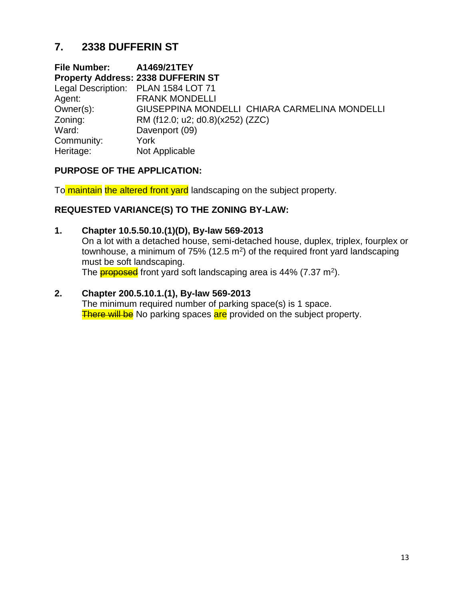# **7. 2338 DUFFERIN ST**

**File Number: A1469/21TEY Property Address: 2338 DUFFERIN ST**  Legal Description: PLAN 1584 LOT 71 Agent: FRANK MONDELLI Owner(s): GIUSEPPINA MONDELLI CHIARA CARMELINA MONDELLI Zoning: RM (f12.0; u2; d0.8)(x252) (ZZC) Ward: Davenport (09) Community: York Heritage: Not Applicable

## **PURPOSE OF THE APPLICATION:**

To maintain the altered front yard landscaping on the subject property.

### **REQUESTED VARIANCE(S) TO THE ZONING BY-LAW:**

#### **1. Chapter 10.5.50.10.(1)(D), By-law 569-2013**

On a lot with a detached house, semi-detached house, duplex, triplex, fourplex or townhouse, a minimum of 75% (12.5  $m^2$ ) of the required front yard landscaping must be soft landscaping.

The <mark>proposed</mark> front yard soft landscaping area is 44% (7.37 m<sup>2</sup>).

#### **2. Chapter 200.5.10.1.(1), By-law 569-2013**

The minimum required number of parking space(s) is 1 space. There will be No parking spaces are provided on the subject property.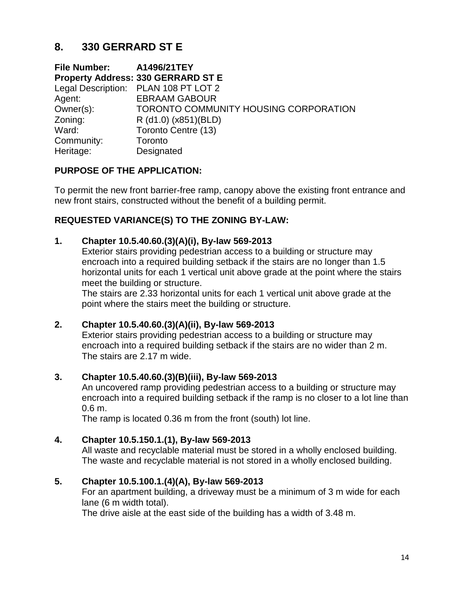# **8. 330 GERRARD ST E**

**File Number: A1496/21TEY Property Address: 330 GERRARD ST E** Legal Description: PLAN 108 PT LOT 2 Agent: EBRAAM GABOUR Owner(s): TORONTO COMMUNITY HOUSING CORPORATION Zoning: R (d1.0) (x851)(BLD) Ward: Toronto Centre (13) Community: Toronto Heritage: Designated

## **PURPOSE OF THE APPLICATION:**

To permit the new front barrier-free ramp, canopy above the existing front entrance and new front stairs, constructed without the benefit of a building permit.

## **REQUESTED VARIANCE(S) TO THE ZONING BY-LAW:**

### **1. Chapter 10.5.40.60.(3)(A)(i), By-law 569-2013**

Exterior stairs providing pedestrian access to a building or structure may encroach into a required building setback if the stairs are no longer than 1.5 horizontal units for each 1 vertical unit above grade at the point where the stairs meet the building or structure.

The stairs are 2.33 horizontal units for each 1 vertical unit above grade at the point where the stairs meet the building or structure.

## **2. Chapter 10.5.40.60.(3)(A)(ii), By-law 569-2013**

Exterior stairs providing pedestrian access to a building or structure may encroach into a required building setback if the stairs are no wider than 2 m. The stairs are 2.17 m wide.

## **3. Chapter 10.5.40.60.(3)(B)(iii), By-law 569-2013**

An uncovered ramp providing pedestrian access to a building or structure may encroach into a required building setback if the ramp is no closer to a lot line than 0.6 m.

The ramp is located 0.36 m from the front (south) lot line.

## **4. Chapter 10.5.150.1.(1), By-law 569-2013**

All waste and recyclable material must be stored in a wholly enclosed building. The waste and recyclable material is not stored in a wholly enclosed building.

## **5. Chapter 10.5.100.1.(4)(A), By-law 569-2013**

For an apartment building, a driveway must be a minimum of 3 m wide for each lane (6 m width total).

The drive aisle at the east side of the building has a width of 3.48 m.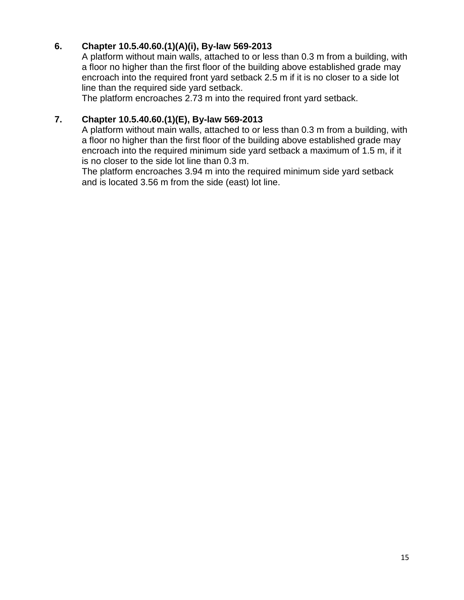## **6. Chapter 10.5.40.60.(1)(A)(i), By-law 569-2013**

A platform without main walls, attached to or less than 0.3 m from a building, with a floor no higher than the first floor of the building above established grade may encroach into the required front yard setback 2.5 m if it is no closer to a side lot line than the required side yard setback.

The platform encroaches 2.73 m into the required front yard setback.

### **7. Chapter 10.5.40.60.(1)(E), By-law 569-2013**

A platform without main walls, attached to or less than 0.3 m from a building, with a floor no higher than the first floor of the building above established grade may encroach into the required minimum side yard setback a maximum of 1.5 m, if it is no closer to the side lot line than 0.3 m.

The platform encroaches 3.94 m into the required minimum side yard setback and is located 3.56 m from the side (east) lot line.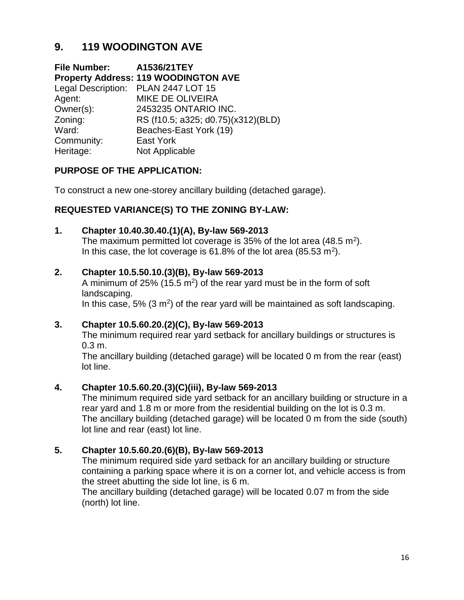# **9. 119 WOODINGTON AVE**

**File Number: A1536/21TEY Property Address: 119 WOODINGTON AVE**  Legal Description: PLAN 2447 LOT 15 Agent: MIKE DE OLIVEIRA Owner(s): 2453235 ONTARIO INC. Zoning: RS (f10.5; a325; d0.75)(x312)(BLD) Ward: Beaches-East York (19) Community: East York Heritage: Not Applicable

## **PURPOSE OF THE APPLICATION:**

To construct a new one-storey ancillary building (detached garage).

### **REQUESTED VARIANCE(S) TO THE ZONING BY-LAW:**

#### **1. Chapter 10.40.30.40.(1)(A), By-law 569-2013**

The maximum permitted lot coverage is 35% of the lot area (48.5 m<sup>2</sup>). In this case, the lot coverage is  $61.8\%$  of the lot area (85.53 m<sup>2</sup>).

#### **2. Chapter 10.5.50.10.(3)(B), By-law 569-2013**

A minimum of 25% (15.5  $m^2$ ) of the rear yard must be in the form of soft landscaping.

In this case,  $5\%$  (3 m<sup>2</sup>) of the rear yard will be maintained as soft landscaping.

#### **3. Chapter 10.5.60.20.(2)(C), By-law 569-2013**

The minimum required rear yard setback for ancillary buildings or structures is 0.3 m.

The ancillary building (detached garage) will be located 0 m from the rear (east) lot line.

#### **4. Chapter 10.5.60.20.(3)(C)(iii), By-law 569-2013**

The minimum required side yard setback for an ancillary building or structure in a rear yard and 1.8 m or more from the residential building on the lot is 0.3 m. The ancillary building (detached garage) will be located 0 m from the side (south) lot line and rear (east) lot line.

## **5. Chapter 10.5.60.20.(6)(B), By-law 569-2013**

The minimum required side yard setback for an ancillary building or structure containing a parking space where it is on a corner lot, and vehicle access is from the street abutting the side lot line, is 6 m.

The ancillary building (detached garage) will be located 0.07 m from the side (north) lot line.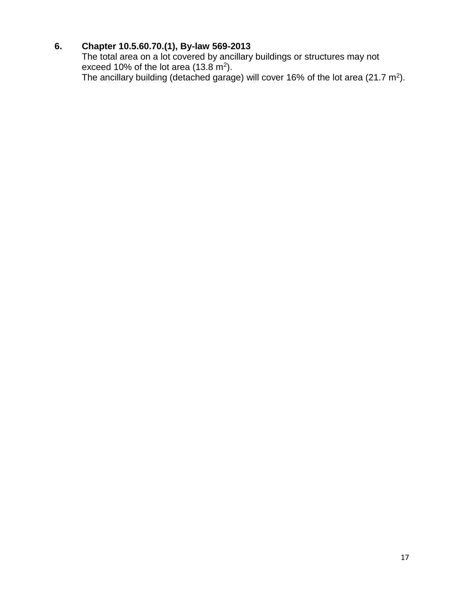## **6. Chapter 10.5.60.70.(1), By-law 569-2013**

The total area on a lot covered by ancillary buildings or structures may not exceed 10% of the lot area (13.8 m<sup>2</sup>). The ancillary building (detached garage) will cover 16% of the lot area (21.7 m<sup>2</sup>).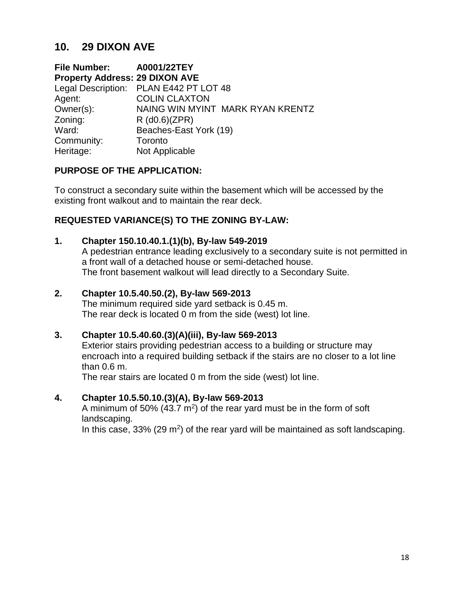## **10. 29 DIXON AVE**

**File Number: A0001/22TEY Property Address: 29 DIXON AVE**  Legal Description: PLAN E442 PT LOT 48 Agent: COLIN CLAXTON Owner(s): NAING WIN MYINT MARK RYAN KRENTZ Zoning: R (d0.6)(ZPR) Ward: Beaches-East York (19) Community: Toronto Heritage: Not Applicable

### **PURPOSE OF THE APPLICATION:**

To construct a secondary suite within the basement which will be accessed by the existing front walkout and to maintain the rear deck.

## **REQUESTED VARIANCE(S) TO THE ZONING BY-LAW:**

#### **1. Chapter 150.10.40.1.(1)(b), By-law 549-2019**

A pedestrian entrance leading exclusively to a secondary suite is not permitted in a front wall of a detached house or semi-detached house. The front basement walkout will lead directly to a Secondary Suite.

#### **2. Chapter 10.5.40.50.(2), By-law 569-2013**

The minimum required side yard setback is 0.45 m. The rear deck is located 0 m from the side (west) lot line.

#### **3. Chapter 10.5.40.60.(3)(A)(iii), By-law 569-2013**

Exterior stairs providing pedestrian access to a building or structure may encroach into a required building setback if the stairs are no closer to a lot line than 0.6 m.

The rear stairs are located 0 m from the side (west) lot line.

#### **4. Chapter 10.5.50.10.(3)(A), By-law 569-2013**

A minimum of 50% (43.7  $m^2$ ) of the rear yard must be in the form of soft landscaping.

In this case,  $33\%$  (29 m<sup>2</sup>) of the rear yard will be maintained as soft landscaping.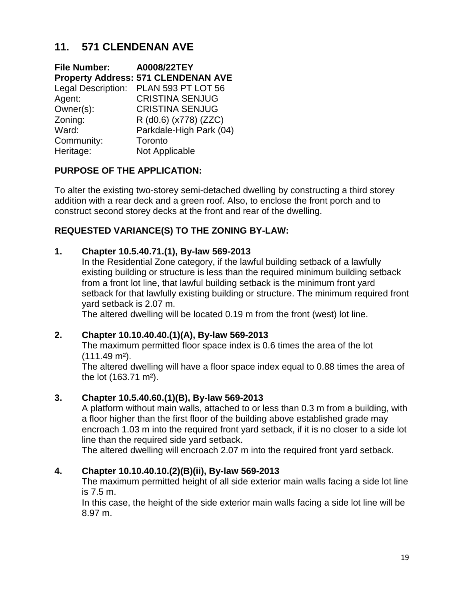# **11. 571 CLENDENAN AVE**

**File Number: A0008/22TEY Property Address: 571 CLENDENAN AVE** Legal Description: PLAN 593 PT LOT 56 Agent: CRISTINA SENJUG Owner(s): CRISTINA SENJUG Zoning: R (d0.6) (x778) (ZZC) Ward: Parkdale-High Park (04) Community: Toronto Heritage: Not Applicable

## **PURPOSE OF THE APPLICATION:**

To alter the existing two-storey semi-detached dwelling by constructing a third storey addition with a rear deck and a green roof. Also, to enclose the front porch and to construct second storey decks at the front and rear of the dwelling.

### **REQUESTED VARIANCE(S) TO THE ZONING BY-LAW:**

#### **1. Chapter 10.5.40.71.(1), By-law 569-2013**

In the Residential Zone category, if the lawful building setback of a lawfully existing building or structure is less than the required minimum building setback from a front lot line, that lawful building setback is the minimum front yard setback for that lawfully existing building or structure. The minimum required front yard setback is 2.07 m.

The altered dwelling will be located 0.19 m from the front (west) lot line.

#### **2. Chapter 10.10.40.40.(1)(A), By-law 569-2013**

The maximum permitted floor space index is 0.6 times the area of the lot (111.49 m²).

The altered dwelling will have a floor space index equal to 0.88 times the area of the lot (163.71 m²).

#### **3. Chapter 10.5.40.60.(1)(B), By-law 569-2013**

A platform without main walls, attached to or less than 0.3 m from a building, with a floor higher than the first floor of the building above established grade may encroach 1.03 m into the required front yard setback, if it is no closer to a side lot line than the required side yard setback.

The altered dwelling will encroach 2.07 m into the required front yard setback.

#### **4. Chapter 10.10.40.10.(2)(B)(ii), By-law 569-2013**

The maximum permitted height of all side exterior main walls facing a side lot line is 7.5 m.

In this case, the height of the side exterior main walls facing a side lot line will be 8.97 m.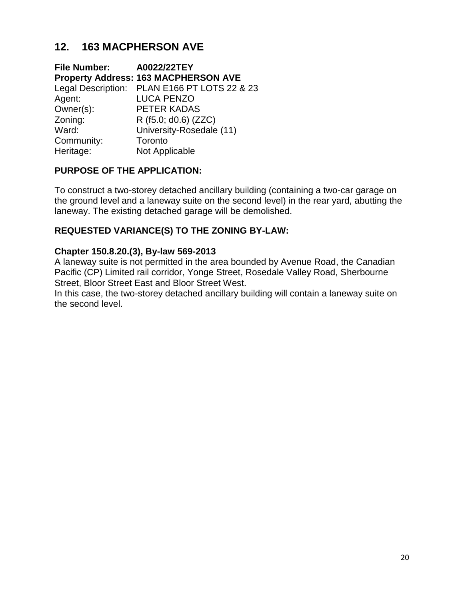# **12. 163 MACPHERSON AVE**

**File Number: A0022/22TEY Property Address: 163 MACPHERSON AVE** Legal Description: PLAN E166 PT LOTS 22 & 23 Agent: LUCA PENZO Owner(s): PETER KADAS Zoning: R (f5.0; d0.6) (ZZC) Ward: University-Rosedale (11) Community: Toronto Heritage: Not Applicable

## **PURPOSE OF THE APPLICATION:**

To construct a two-storey detached ancillary building (containing a two-car garage on the ground level and a laneway suite on the second level) in the rear yard, abutting the laneway. The existing detached garage will be demolished.

## **REQUESTED VARIANCE(S) TO THE ZONING BY-LAW:**

## **Chapter 150.8.20.(3), By-law 569-2013**

A laneway suite is not permitted in the area bounded by Avenue Road, the Canadian Pacific (CP) Limited rail corridor, Yonge Street, Rosedale Valley Road, Sherbourne Street, Bloor Street East and Bloor Street West.

In this case, the two-storey detached ancillary building will contain a laneway suite on the second level.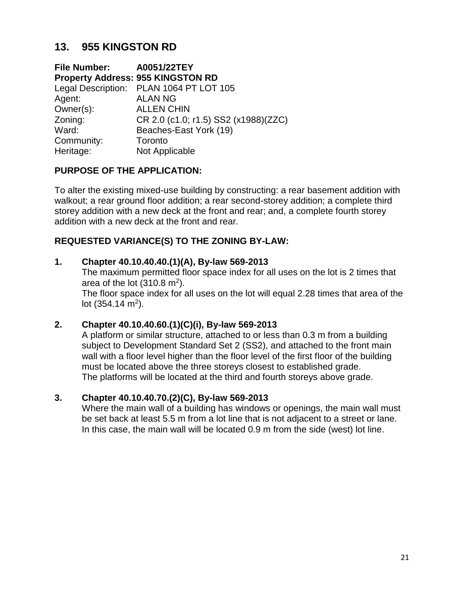# **13. 955 KINGSTON RD**

**File Number: A0051/22TEY Property Address: 955 KINGSTON RD**  Legal Description: PLAN 1064 PT LOT 105 Agent: ALAN NG Owner(s): ALLEN CHIN Zoning: CR 2.0 (c1.0; r1.5) SS2 (x1988)(ZZC) Ward: Beaches-East York (19) Community: Toronto Heritage: Not Applicable

## **PURPOSE OF THE APPLICATION:**

To alter the existing mixed-use building by constructing: a rear basement addition with walkout; a rear ground floor addition; a rear second-storey addition; a complete third storey addition with a new deck at the front and rear; and, a complete fourth storey addition with a new deck at the front and rear.

### **REQUESTED VARIANCE(S) TO THE ZONING BY-LAW:**

#### **1. Chapter 40.10.40.40.(1)(A), By-law 569-2013**

The maximum permitted floor space index for all uses on the lot is 2 times that area of the lot  $(310.8 \text{ m}^2)$ .

The floor space index for all uses on the lot will equal 2.28 times that area of the lot  $(354.14 \text{ m}^2)$ .

#### **2. Chapter 40.10.40.60.(1)(C)(i), By-law 569-2013**

A platform or similar structure, attached to or less than 0.3 m from a building subject to Development Standard Set 2 (SS2), and attached to the front main wall with a floor level higher than the floor level of the first floor of the building must be located above the three storeys closest to established grade. The platforms will be located at the third and fourth storeys above grade.

#### **3. Chapter 40.10.40.70.(2)(C), By-law 569-2013**

Where the main wall of a building has windows or openings, the main wall must be set back at least 5.5 m from a lot line that is not adjacent to a street or lane. In this case, the main wall will be located 0.9 m from the side (west) lot line.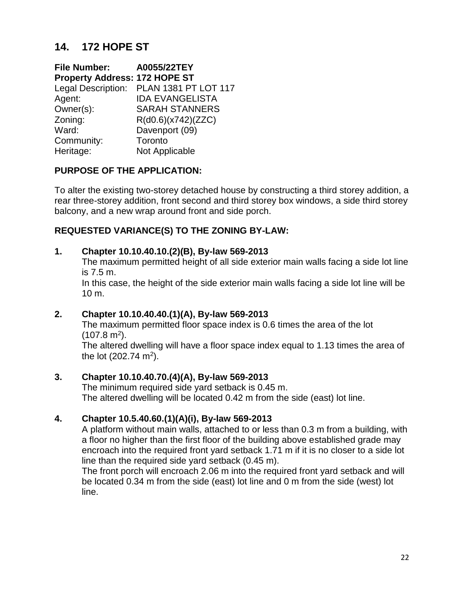# **14. 172 HOPE ST**

**File Number: A0055/22TEY Property Address: 172 HOPE ST**  Legal Description: PLAN 1381 PT LOT 117 Agent: IDA EVANGELISTA Owner(s): SARAH STANNERS Zoning: R(d0.6)(x742)(ZZC) Ward: Davenport (09) Community: Toronto Heritage: Not Applicable

### **PURPOSE OF THE APPLICATION:**

To alter the existing two-storey detached house by constructing a third storey addition, a rear three-storey addition, front second and third storey box windows, a side third storey balcony, and a new wrap around front and side porch.

## **REQUESTED VARIANCE(S) TO THE ZONING BY-LAW:**

#### **1. Chapter 10.10.40.10.(2)(B), By-law 569-2013**

The maximum permitted height of all side exterior main walls facing a side lot line is 7.5 m.

In this case, the height of the side exterior main walls facing a side lot line will be 10 m.

#### **2. Chapter 10.10.40.40.(1)(A), By-law 569-2013**

The maximum permitted floor space index is 0.6 times the area of the lot  $(107.8 \text{ m}^2).$ 

The altered dwelling will have a floor space index equal to 1.13 times the area of the lot  $(202.74 \text{ m}^2)$ .

#### **3. Chapter 10.10.40.70.(4)(A), By-law 569-2013**

The minimum required side yard setback is 0.45 m. The altered dwelling will be located 0.42 m from the side (east) lot line.

#### **4. Chapter 10.5.40.60.(1)(A)(i), By-law 569-2013**

A platform without main walls, attached to or less than 0.3 m from a building, with a floor no higher than the first floor of the building above established grade may encroach into the required front yard setback 1.71 m if it is no closer to a side lot line than the required side yard setback (0.45 m).

The front porch will encroach 2.06 m into the required front yard setback and will be located 0.34 m from the side (east) lot line and 0 m from the side (west) lot line.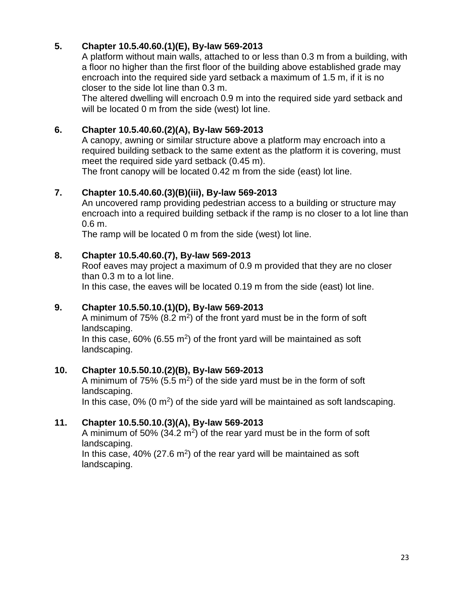## **5. Chapter 10.5.40.60.(1)(E), By-law 569-2013**

A platform without main walls, attached to or less than 0.3 m from a building, with a floor no higher than the first floor of the building above established grade may encroach into the required side yard setback a maximum of 1.5 m, if it is no closer to the side lot line than 0.3 m.

The altered dwelling will encroach 0.9 m into the required side yard setback and will be located 0 m from the side (west) lot line.

## **6. Chapter 10.5.40.60.(2)(A), By-law 569-2013**

A canopy, awning or similar structure above a platform may encroach into a required building setback to the same extent as the platform it is covering, must meet the required side yard setback (0.45 m).

The front canopy will be located 0.42 m from the side (east) lot line.

## **7. Chapter 10.5.40.60.(3)(B)(iii), By-law 569-2013**

An uncovered ramp providing pedestrian access to a building or structure may encroach into a required building setback if the ramp is no closer to a lot line than 0.6 m.

The ramp will be located 0 m from the side (west) lot line.

## **8. Chapter 10.5.40.60.(7), By-law 569-2013**

Roof eaves may project a maximum of 0.9 m provided that they are no closer than 0.3 m to a lot line.

In this case, the eaves will be located 0.19 m from the side (east) lot line.

## **9. Chapter 10.5.50.10.(1)(D), By-law 569-2013**

A minimum of  $75\%$  (8.2 m<sup>2</sup>) of the front yard must be in the form of soft landscaping.

In this case,  $60\%$  (6.55 m<sup>2</sup>) of the front yard will be maintained as soft landscaping.

## **10. Chapter 10.5.50.10.(2)(B), By-law 569-2013**

A minimum of  $75\%$  (5.5 m<sup>2</sup>) of the side yard must be in the form of soft landscaping.

In this case,  $0\%$  (0 m<sup>2</sup>) of the side yard will be maintained as soft landscaping.

## **11. Chapter 10.5.50.10.(3)(A), By-law 569-2013**

A minimum of 50% (34.2 m<sup>2</sup>) of the rear yard must be in the form of soft landscaping.

In this case,  $40\%$  (27.6 m<sup>2</sup>) of the rear yard will be maintained as soft landscaping.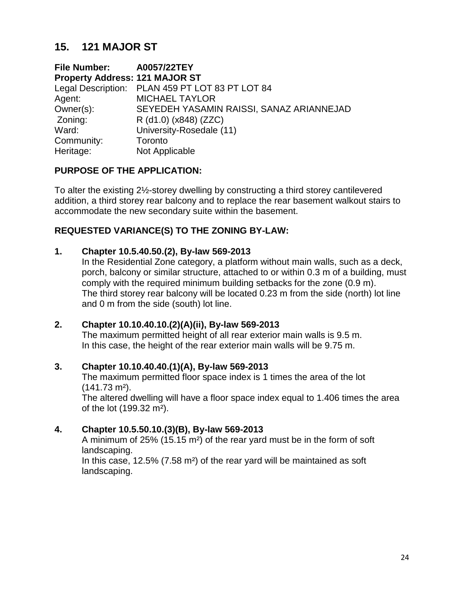## **15. 121 MAJOR ST**

**File Number: A0057/22TEY Property Address: 121 MAJOR ST**  Legal Description: PLAN 459 PT LOT 83 PT LOT 84 Agent: MICHAEL TAYLOR Owner(s): SEYEDEH YASAMIN RAISSI, SANAZ ARIANNEJAD Zoning: R (d1.0) (x848) (ZZC) Ward: University-Rosedale (11) Community: Toronto Heritage: Not Applicable

### **PURPOSE OF THE APPLICATION:**

To alter the existing 2½-storey dwelling by constructing a third storey cantilevered addition, a third storey rear balcony and to replace the rear basement walkout stairs to accommodate the new secondary suite within the basement.

### **REQUESTED VARIANCE(S) TO THE ZONING BY-LAW:**

#### **1. Chapter 10.5.40.50.(2), By-law 569-2013**

In the Residential Zone category, a platform without main walls, such as a deck, porch, balcony or similar structure, attached to or within 0.3 m of a building, must comply with the required minimum building setbacks for the zone (0.9 m). The third storey rear balcony will be located 0.23 m from the side (north) lot line and 0 m from the side (south) lot line.

#### **2. Chapter 10.10.40.10.(2)(A)(ii), By-law 569-2013**

The maximum permitted height of all rear exterior main walls is 9.5 m. In this case, the height of the rear exterior main walls will be 9.75 m.

#### **3. Chapter 10.10.40.40.(1)(A), By-law 569-2013**

The maximum permitted floor space index is 1 times the area of the lot (141.73 m²).

The altered dwelling will have a floor space index equal to 1.406 times the area of the lot (199.32 m²).

## **4. Chapter 10.5.50.10.(3)(B), By-law 569-2013**

A minimum of 25% (15.15 m²) of the rear yard must be in the form of soft landscaping.

In this case, 12.5% (7.58 m²) of the rear yard will be maintained as soft landscaping.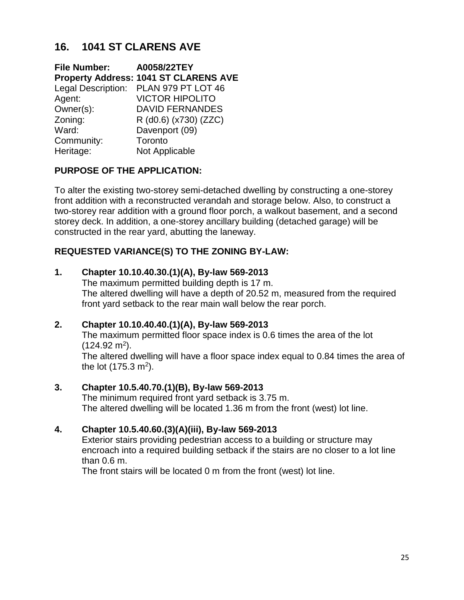# **16. 1041 ST CLARENS AVE**

**File Number: A0058/22TEY Property Address: 1041 ST CLARENS AVE**  Legal Description: PLAN 979 PT LOT 46 Agent: VICTOR HIPOLITO Owner(s): DAVID FERNANDES Zoning: R (d0.6) (x730) (ZZC) Ward: Davenport (09) Community: Toronto Heritage: Not Applicable

## **PURPOSE OF THE APPLICATION:**

To alter the existing two-storey semi-detached dwelling by constructing a one-storey front addition with a reconstructed verandah and storage below. Also, to construct a two-storey rear addition with a ground floor porch, a walkout basement, and a second storey deck. In addition, a one-storey ancillary building (detached garage) will be constructed in the rear yard, abutting the laneway.

## **REQUESTED VARIANCE(S) TO THE ZONING BY-LAW:**

### **1. Chapter 10.10.40.30.(1)(A), By-law 569-2013**

The maximum permitted building depth is 17 m. The altered dwelling will have a depth of 20.52 m, measured from the required front yard setback to the rear main wall below the rear porch.

## **2. Chapter 10.10.40.40.(1)(A), By-law 569-2013**

The maximum permitted floor space index is 0.6 times the area of the lot  $(124.92 \text{ m}^2).$ 

The altered dwelling will have a floor space index equal to 0.84 times the area of the lot  $(175.3 \text{ m}^2)$ .

## **3. Chapter 10.5.40.70.(1)(B), By-law 569-2013**

The minimum required front yard setback is 3.75 m. The altered dwelling will be located 1.36 m from the front (west) lot line.

## **4. Chapter 10.5.40.60.(3)(A)(iii), By-law 569-2013**

Exterior stairs providing pedestrian access to a building or structure may encroach into a required building setback if the stairs are no closer to a lot line than 0.6 m.

The front stairs will be located 0 m from the front (west) lot line.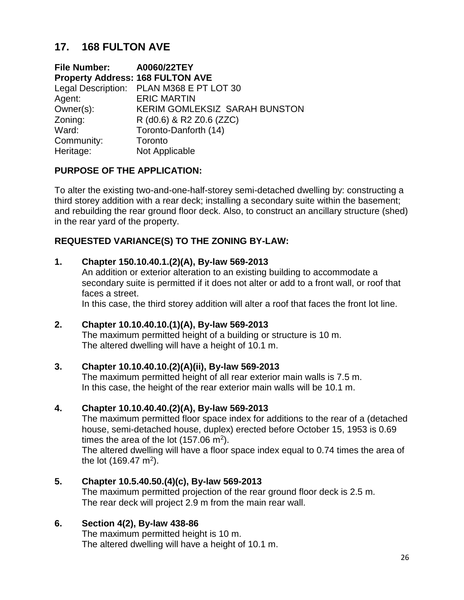# **17. 168 FULTON AVE**

**File Number: A0060/22TEY Property Address: 168 FULTON AVE**  Legal Description: PLAN M368 E PT LOT 30 Agent: ERIC MARTIN Owner(s): KERIM GOMLEKSIZ SARAH BUNSTON Zoning: R (d0.6) & R2 Z0.6 (ZZC) Ward: Toronto-Danforth (14) Community: Toronto Heritage: Not Applicable

## **PURPOSE OF THE APPLICATION:**

To alter the existing two-and-one-half-storey semi-detached dwelling by: constructing a third storey addition with a rear deck; installing a secondary suite within the basement; and rebuilding the rear ground floor deck. Also, to construct an ancillary structure (shed) in the rear yard of the property.

### **REQUESTED VARIANCE(S) TO THE ZONING BY-LAW:**

#### **1. Chapter 150.10.40.1.(2)(A), By-law 569-2013**

An addition or exterior alteration to an existing building to accommodate a secondary suite is permitted if it does not alter or add to a front wall, or roof that faces a street.

In this case, the third storey addition will alter a roof that faces the front lot line.

#### **2. Chapter 10.10.40.10.(1)(A), By-law 569-2013**

The maximum permitted height of a building or structure is 10 m. The altered dwelling will have a height of 10.1 m.

#### **3. Chapter 10.10.40.10.(2)(A)(ii), By-law 569-2013**

The maximum permitted height of all rear exterior main walls is 7.5 m. In this case, the height of the rear exterior main walls will be 10.1 m.

#### **4. Chapter 10.10.40.40.(2)(A), By-law 569-2013**

The maximum permitted floor space index for additions to the rear of a (detached house, semi-detached house, duplex) erected before October 15, 1953 is 0.69 times the area of the lot (157.06 m<sup>2</sup>).

The altered dwelling will have a floor space index equal to 0.74 times the area of the lot (169.47 m<sup>2</sup>).

#### **5. Chapter 10.5.40.50.(4)(c), By-law 569-2013**

The maximum permitted projection of the rear ground floor deck is 2.5 m. The rear deck will project 2.9 m from the main rear wall.

#### **6. Section 4(2), By-law 438-86**

The maximum permitted height is 10 m. The altered dwelling will have a height of 10.1 m.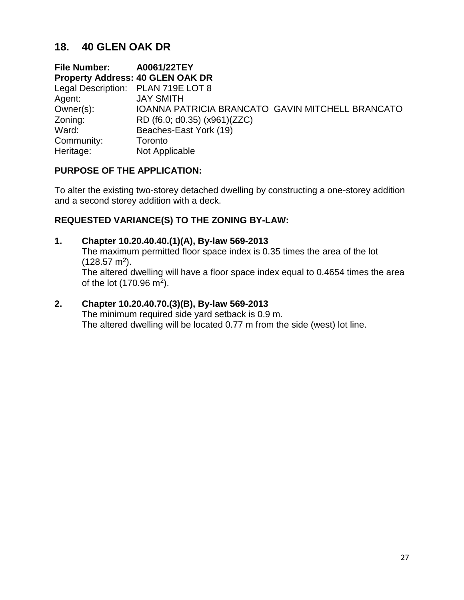## **18. 40 GLEN OAK DR**

**File Number: A0061/22TEY Property Address: 40 GLEN OAK DR** Legal Description: PLAN 719E LOT 8 Agent: JAY SMITH Owner(s): IOANNA PATRICIA BRANCATO GAVIN MITCHELL BRANCATO Zoning: RD (f6.0; d0.35) (x961)(ZZC) Ward: Beaches-East York (19) Community: Toronto Heritage: Not Applicable

### **PURPOSE OF THE APPLICATION:**

To alter the existing two-storey detached dwelling by constructing a one-storey addition and a second storey addition with a deck.

## **REQUESTED VARIANCE(S) TO THE ZONING BY-LAW:**

### **1. Chapter 10.20.40.40.(1)(A), By-law 569-2013**

The maximum permitted floor space index is 0.35 times the area of the lot  $(128.57 \text{ m}^2).$ The altered dwelling will have a floor space index equal to 0.4654 times the area

of the lot  $(170.96 \text{ m}^2)$ .

### **2. Chapter 10.20.40.70.(3)(B), By-law 569-2013**

The minimum required side yard setback is 0.9 m. The altered dwelling will be located 0.77 m from the side (west) lot line.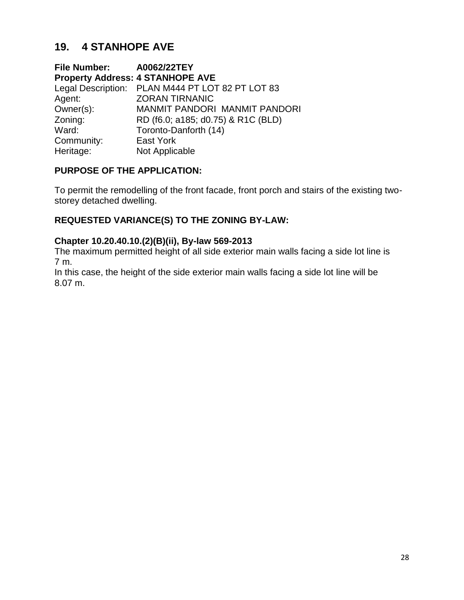# **19. 4 STANHOPE AVE**

**File Number: A0062/22TEY Property Address: 4 STANHOPE AVE** Legal Description: PLAN M444 PT LOT 82 PT LOT 83 Agent: **ZORAN TIRNANIC** Owner(s): MANMIT PANDORI MANMIT PANDORI Zoning: RD (f6.0; a185; d0.75) & R1C (BLD) Ward: Toronto-Danforth (14) Community: East York Heritage: Not Applicable

## **PURPOSE OF THE APPLICATION:**

To permit the remodelling of the front facade, front porch and stairs of the existing twostorey detached dwelling.

## **REQUESTED VARIANCE(S) TO THE ZONING BY-LAW:**

#### **Chapter 10.20.40.10.(2)(B)(ii), By-law 569-2013**

The maximum permitted height of all side exterior main walls facing a side lot line is 7 m.

In this case, the height of the side exterior main walls facing a side lot line will be 8.07 m.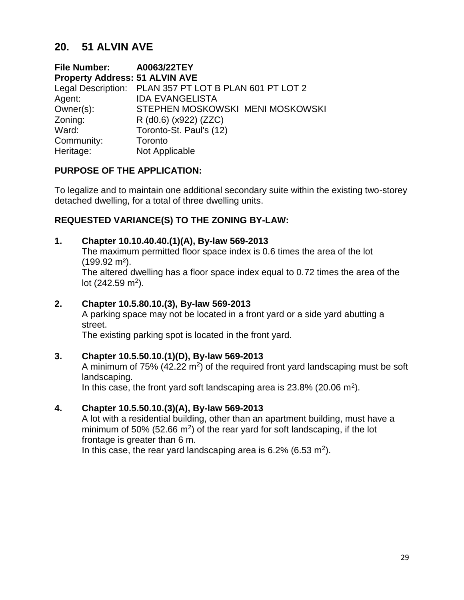## **20. 51 ALVIN AVE**

**File Number: A0063/22TEY Property Address: 51 ALVIN AVE**  Legal Description: PLAN 357 PT LOT B PLAN 601 PT LOT 2 Agent: IDA EVANGELISTA Owner(s): STEPHEN MOSKOWSKI MENI MOSKOWSKI Zoning: R (d0.6) (x922) (ZZC) Ward: Toronto-St. Paul's (12) Community: Toronto Heritage: Not Applicable

## **PURPOSE OF THE APPLICATION:**

To legalize and to maintain one additional secondary suite within the existing two-storey detached dwelling, for a total of three dwelling units.

### **REQUESTED VARIANCE(S) TO THE ZONING BY-LAW:**

#### **1. Chapter 10.10.40.40.(1)(A), By-law 569-2013**

The maximum permitted floor space index is 0.6 times the area of the lot (199.92 m²).

The altered dwelling has a floor space index equal to 0.72 times the area of the lot  $(242.59 \text{ m}^2)$ .

#### **2. Chapter 10.5.80.10.(3), By-law 569-2013**

A parking space may not be located in a front yard or a side yard abutting a street.

The existing parking spot is located in the front yard.

#### **3. Chapter 10.5.50.10.(1)(D), By-law 569-2013**

A minimum of  $75\%$  (42.22 m<sup>2</sup>) of the required front yard landscaping must be soft landscaping.

In this case, the front yard soft landscaping area is 23.8% (20.06 m<sup>2</sup>).

#### **4. Chapter 10.5.50.10.(3)(A), By-law 569-2013**

A lot with a residential building, other than an apartment building, must have a minimum of 50% (52.66  $m^2$ ) of the rear yard for soft landscaping, if the lot frontage is greater than 6 m.

In this case, the rear yard landscaping area is 6.2% (6.53 m<sup>2</sup>).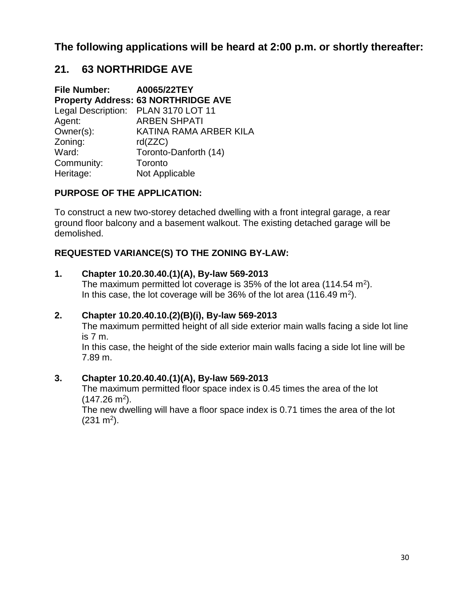**The following applications will be heard at 2:00 p.m. or shortly thereafter:**

## **21. 63 NORTHRIDGE AVE**

**File Number: A0065/22TEY Property Address: 63 NORTHRIDGE AVE** Legal Description: PLAN 3170 LOT 11 Agent: ARBEN SHPATI Owner(s): KATINA RAMA ARBER KILA Zoning: rd(ZZC) Ward: Toronto-Danforth (14) Community: Toronto Heritage: Not Applicable

## **PURPOSE OF THE APPLICATION:**

To construct a new two-storey detached dwelling with a front integral garage, a rear ground floor balcony and a basement walkout. The existing detached garage will be demolished.

## **REQUESTED VARIANCE(S) TO THE ZONING BY-LAW:**

#### **1. Chapter 10.20.30.40.(1)(A), By-law 569-2013**

The maximum permitted lot coverage is 35% of the lot area (114.54 m<sup>2</sup>). In this case, the lot coverage will be 36% of the lot area (116.49 m<sup>2</sup>).

#### **2. Chapter 10.20.40.10.(2)(B)(i), By-law 569-2013**

The maximum permitted height of all side exterior main walls facing a side lot line is 7 m.

In this case, the height of the side exterior main walls facing a side lot line will be 7.89 m.

#### **3. Chapter 10.20.40.40.(1)(A), By-law 569-2013**

The maximum permitted floor space index is 0.45 times the area of the lot  $(147.26 \text{ m}^2).$ 

The new dwelling will have a floor space index is 0.71 times the area of the lot  $(231 \text{ m}^2)$ .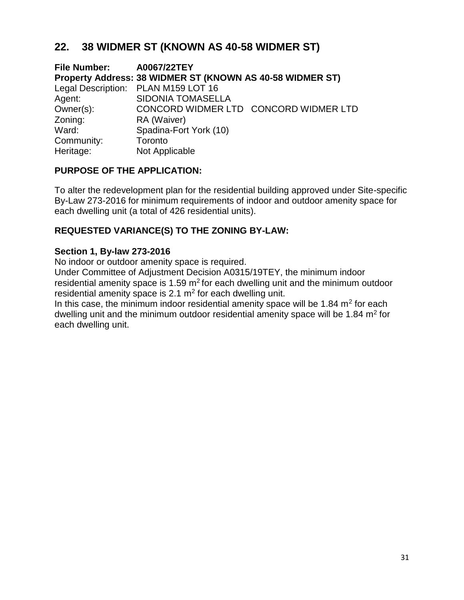# **22. 38 WIDMER ST (KNOWN AS 40-58 WIDMER ST)**

**File Number: A0067/22TEY Property Address: 38 WIDMER ST (KNOWN AS 40-58 WIDMER ST)**  Legal Description: PLAN M159 LOT 16 Agent: SIDONIA TOMASELLA Owner(s): CONCORD WIDMER LTD CONCORD WIDMER LTD[ Zoning: RA (Waiver) Ward: Spadina-Fort York (10) Community: Toronto Heritage: Not Applicable

## **PURPOSE OF THE APPLICATION:**

To alter the redevelopment plan for the residential building approved under Site-specific By-Law 273-2016 for minimum requirements of indoor and outdoor amenity space for each dwelling unit (a total of 426 residential units).

## **REQUESTED VARIANCE(S) TO THE ZONING BY-LAW:**

### **Section 1, By-law 273-2016**

No indoor or outdoor amenity space is required.

Under Committee of Adjustment Decision A0315/19TEY, the minimum indoor residential amenity space is  $1.59 \text{ m}^2$  for each dwelling unit and the minimum outdoor residential amenity space is 2.1  $m<sup>2</sup>$  for each dwelling unit.

In this case, the minimum indoor residential amenity space will be 1.84  $m<sup>2</sup>$  for each dwelling unit and the minimum outdoor residential amenity space will be 1.84  $m<sup>2</sup>$  for each dwelling unit.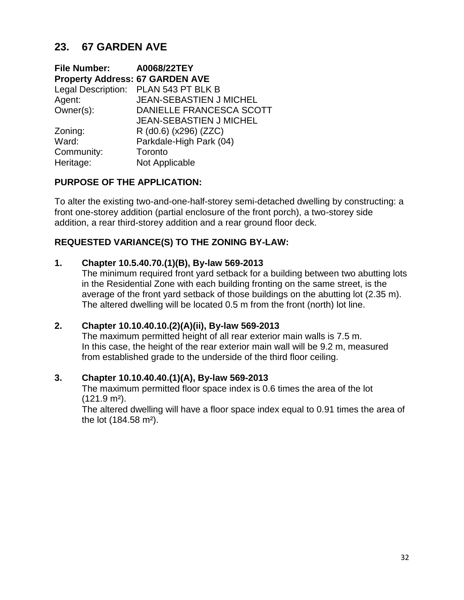# **23. 67 GARDEN AVE**

| File Number: A0068/22TEY               |                                      |
|----------------------------------------|--------------------------------------|
| <b>Property Address: 67 GARDEN AVE</b> |                                      |
|                                        | Legal Description: PLAN 543 PT BLK B |
| Agent:                                 | JEAN-SEBASTIEN J MICHEL              |
| Owner(s):                              | DANIELLE FRANCESCA SCOTT             |
|                                        | <b>JEAN-SEBASTIEN J MICHEL</b>       |
| Zoning:                                | R (d0.6) (x296) (ZZC)                |
| Ward:                                  | Parkdale-High Park (04)              |
| Community:                             | Toronto                              |
| Heritage:                              | Not Applicable                       |

### **PURPOSE OF THE APPLICATION:**

To alter the existing two-and-one-half-storey semi-detached dwelling by constructing: a front one-storey addition (partial enclosure of the front porch), a two-storey side addition, a rear third-storey addition and a rear ground floor deck.

## **REQUESTED VARIANCE(S) TO THE ZONING BY-LAW:**

#### **1. Chapter 10.5.40.70.(1)(B), By-law 569-2013**

The minimum required front yard setback for a building between two abutting lots in the Residential Zone with each building fronting on the same street, is the average of the front yard setback of those buildings on the abutting lot (2.35 m). The altered dwelling will be located 0.5 m from the front (north) lot line.

#### **2. Chapter 10.10.40.10.(2)(A)(ii), By-law 569-2013**

The maximum permitted height of all rear exterior main walls is 7.5 m. In this case, the height of the rear exterior main wall will be 9.2 m, measured from established grade to the underside of the third floor ceiling.

#### **3. Chapter 10.10.40.40.(1)(A), By-law 569-2013**

The maximum permitted floor space index is 0.6 times the area of the lot (121.9 m²).

The altered dwelling will have a floor space index equal to 0.91 times the area of the lot (184.58 m²).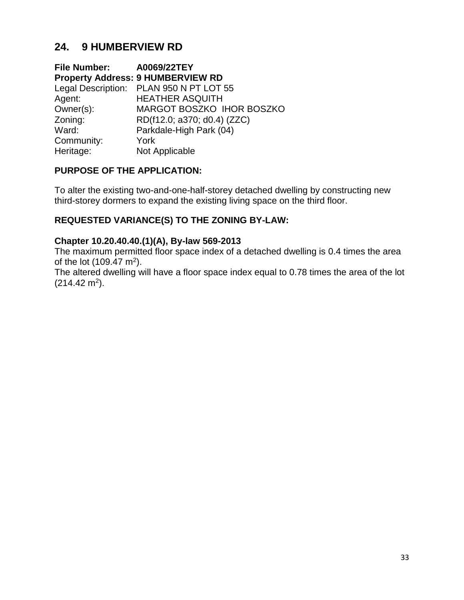# **24. 9 HUMBERVIEW RD**

**File Number: A0069/22TEY Property Address: 9 HUMBERVIEW RD**  Legal Description: PLAN 950 N PT LOT 55 Agent: HEATHER ASQUITH Owner(s): MARGOT BOSZKO IHOR BOSZKO Zoning: RD(f12.0; a370; d0.4) (ZZC) Ward: Parkdale-High Park (04) Community: York Heritage: Not Applicable

## **PURPOSE OF THE APPLICATION:**

To alter the existing two-and-one-half-storey detached dwelling by constructing new third-storey dormers to expand the existing living space on the third floor.

## **REQUESTED VARIANCE(S) TO THE ZONING BY-LAW:**

#### **Chapter 10.20.40.40.(1)(A), By-law 569-2013**

The maximum permitted floor space index of a detached dwelling is 0.4 times the area of the lot  $(109.47 \text{ m}^2)$ .

The altered dwelling will have a floor space index equal to 0.78 times the area of the lot  $(214.42 \text{ m}^2).$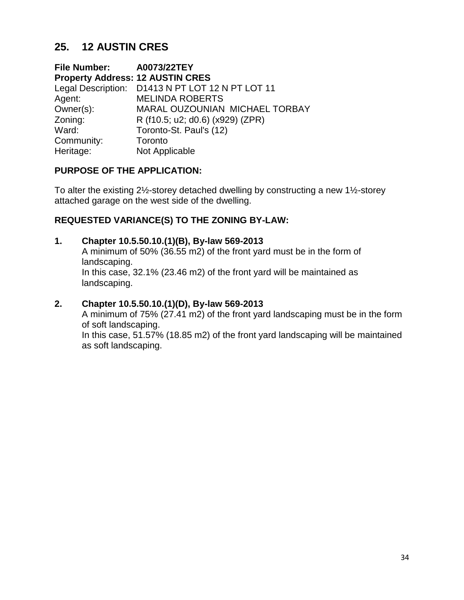# **25. 12 AUSTIN CRES**

**File Number: A0073/22TEY Property Address: 12 AUSTIN CRES**  Legal Description: D1413 N PT LOT 12 N PT LOT 11 Agent: MELINDA ROBERTS Owner(s): MARAL OUZOUNIAN MICHAEL TORBAY Zoning: R (f10.5; u2; d0.6) (x929) (ZPR) Ward: Toronto-St. Paul's (12) Community: Toronto Heritage: Not Applicable

### **PURPOSE OF THE APPLICATION:**

To alter the existing 2½-storey detached dwelling by constructing a new 1½-storey attached garage on the west side of the dwelling.

## **REQUESTED VARIANCE(S) TO THE ZONING BY-LAW:**

#### **1. Chapter 10.5.50.10.(1)(B), By-law 569-2013**

A minimum of 50% (36.55 m2) of the front yard must be in the form of landscaping. In this case, 32.1% (23.46 m2) of the front yard will be maintained as landscaping.

### **2. Chapter 10.5.50.10.(1)(D), By-law 569-2013**

A minimum of 75% (27.41 m2) of the front yard landscaping must be in the form of soft landscaping.

In this case, 51.57% (18.85 m2) of the front yard landscaping will be maintained as soft landscaping.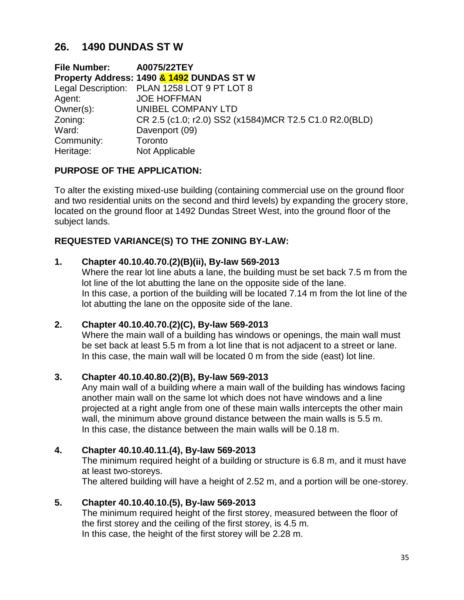## **26. 1490 DUNDAS ST W**

**File Number: A0075/22TEY Property Address: 1490 & 1492 DUNDAS ST W** Legal Description: PLAN 1258 LOT 9 PT LOT 8 Agent: **JOE HOFFMAN** Owner(s): UNIBEL COMPANY LTD Zoning: CR 2.5 (c1.0; r2.0) SS2 (x1584)MCR T2.5 C1.0 R2.0(BLD) Ward: Davenport (09) Community: Toronto Heritage: Not Applicable

## **PURPOSE OF THE APPLICATION:**

To alter the existing mixed-use building (containing commercial use on the ground floor and two residential units on the second and third levels) by expanding the grocery store, located on the ground floor at 1492 Dundas Street West, into the ground floor of the subject lands.

### **REQUESTED VARIANCE(S) TO THE ZONING BY-LAW:**

#### **1. Chapter 40.10.40.70.(2)(B)(ii), By-law 569-2013**

Where the rear lot line abuts a lane, the building must be set back 7.5 m from the lot line of the lot abutting the lane on the opposite side of the lane. In this case, a portion of the building will be located 7.14 m from the lot line of the lot abutting the lane on the opposite side of the lane.

#### **2. Chapter 40.10.40.70.(2)(C), By-law 569-2013**

Where the main wall of a building has windows or openings, the main wall must be set back at least 5.5 m from a lot line that is not adjacent to a street or lane. In this case, the main wall will be located 0 m from the side (east) lot line.

#### **3. Chapter 40.10.40.80.(2)(B), By-law 569-2013**

Any main wall of a building where a main wall of the building has windows facing another main wall on the same lot which does not have windows and a line projected at a right angle from one of these main walls intercepts the other main wall, the minimum above ground distance between the main walls is 5.5 m. In this case, the distance between the main walls will be 0.18 m.

#### **4. Chapter 40.10.40.11.(4), By-law 569-2013**

The minimum required height of a building or structure is 6.8 m, and it must have at least two-storeys.

The altered building will have a height of 2.52 m, and a portion will be one-storey.

#### **5. Chapter 40.10.40.10.(5), By-law 569-2013**

The minimum required height of the first storey, measured between the floor of the first storey and the ceiling of the first storey, is 4.5 m. In this case, the height of the first storey will be 2.28 m.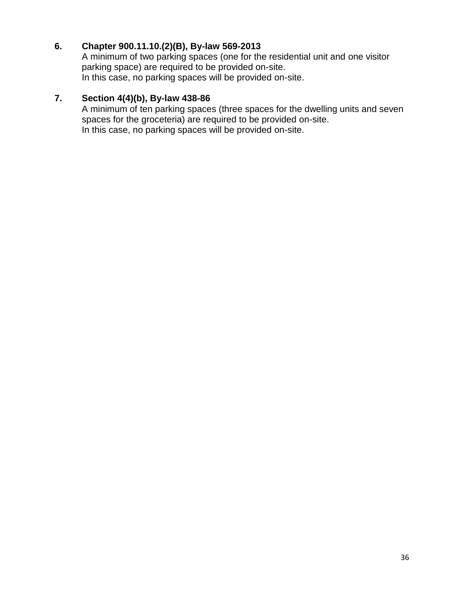## **6. Chapter 900.11.10.(2)(B), By-law 569-2013**

A minimum of two parking spaces (one for the residential unit and one visitor parking space) are required to be provided on-site. In this case, no parking spaces will be provided on-site.

## **7. Section 4(4)(b), By-law 438-86**

A minimum of ten parking spaces (three spaces for the dwelling units and seven spaces for the groceteria) are required to be provided on-site. In this case, no parking spaces will be provided on-site.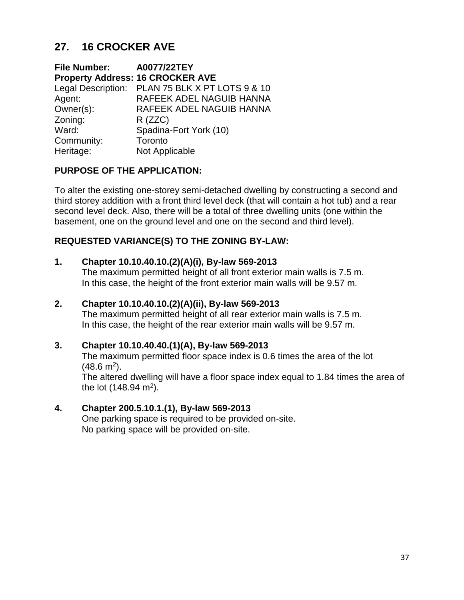# **27. 16 CROCKER AVE**

| File Number: A0077/22TEY |                                                 |
|--------------------------|-------------------------------------------------|
|                          | <b>Property Address: 16 CROCKER AVE</b>         |
|                          | Legal Description: PLAN 75 BLK X PT LOTS 9 & 10 |
| Agent:                   | RAFEEK ADEL NAGUIB HANNA                        |
| Owner(s):                | RAFEEK ADEL NAGUIB HANNA                        |
| Zoning:                  | $R$ (ZZC)                                       |
| Ward:                    | Spadina-Fort York (10)                          |
| Community:               | Toronto                                         |
| Heritage:                | Not Applicable                                  |

## **PURPOSE OF THE APPLICATION:**

To alter the existing one-storey semi-detached dwelling by constructing a second and third storey addition with a front third level deck (that will contain a hot tub) and a rear second level deck. Also, there will be a total of three dwelling units (one within the basement, one on the ground level and one on the second and third level).

### **REQUESTED VARIANCE(S) TO THE ZONING BY-LAW:**

#### **1. Chapter 10.10.40.10.(2)(A)(i), By-law 569-2013**

The maximum permitted height of all front exterior main walls is 7.5 m. In this case, the height of the front exterior main walls will be 9.57 m.

#### **2. Chapter 10.10.40.10.(2)(A)(ii), By-law 569-2013**

The maximum permitted height of all rear exterior main walls is 7.5 m. In this case, the height of the rear exterior main walls will be 9.57 m.

## **3. Chapter 10.10.40.40.(1)(A), By-law 569-2013**

The maximum permitted floor space index is 0.6 times the area of the lot  $(48.6 \text{ m}^2)$ .

The altered dwelling will have a floor space index equal to 1.84 times the area of the lot (148.94 m<sup>2</sup>).

#### **4. Chapter 200.5.10.1.(1), By-law 569-2013**

One parking space is required to be provided on-site. No parking space will be provided on-site.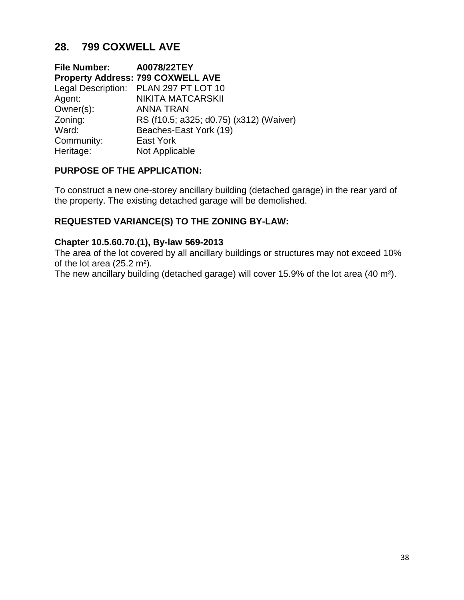# **28. 799 COXWELL AVE**

| File Number: A0078/22TEY |                                          |
|--------------------------|------------------------------------------|
|                          | <b>Property Address: 799 COXWELL AVE</b> |
|                          | Legal Description: PLAN 297 PT LOT 10    |
| Agent:                   | <b>NIKITA MATCARSKII</b>                 |
| Owner(s):                | <b>ANNA TRAN</b>                         |
| Zoning:                  | RS (f10.5; a325; d0.75) (x312) (Waiver)  |
| Ward:                    | Beaches-East York (19)                   |
| Community:               | East York                                |
| Heritage:                | Not Applicable                           |

### **PURPOSE OF THE APPLICATION:**

To construct a new one-storey ancillary building (detached garage) in the rear yard of the property. The existing detached garage will be demolished.

### **REQUESTED VARIANCE(S) TO THE ZONING BY-LAW:**

#### **Chapter 10.5.60.70.(1), By-law 569-2013**

The area of the lot covered by all ancillary buildings or structures may not exceed 10% of the lot area (25.2 m²).

The new ancillary building (detached garage) will cover 15.9% of the lot area (40 m²).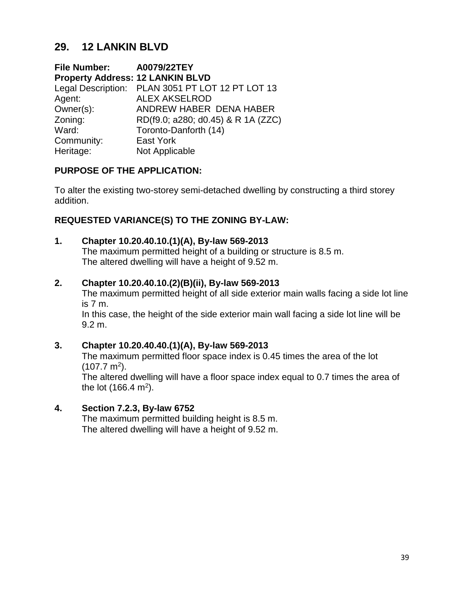# **29. 12 LANKIN BLVD**

**File Number: A0079/22TEY Property Address: 12 LANKIN BLVD**  Legal Description: PLAN 3051 PT LOT 12 PT LOT 13 Agent: ALEX AKSELROD Owner(s): ANDREW HABER DENA HABER Zoning: RD(f9.0; a280; d0.45) & R 1A (ZZC) Ward: Toronto-Danforth (14) Community: East York Heritage: Not Applicable

## **PURPOSE OF THE APPLICATION:**

To alter the existing two-storey semi-detached dwelling by constructing a third storey addition.

## **REQUESTED VARIANCE(S) TO THE ZONING BY-LAW:**

#### **1. Chapter 10.20.40.10.(1)(A), By-law 569-2013**

The maximum permitted height of a building or structure is 8.5 m. The altered dwelling will have a height of 9.52 m.

#### **2. Chapter 10.20.40.10.(2)(B)(ii), By-law 569-2013**

The maximum permitted height of all side exterior main walls facing a side lot line is 7 m.

In this case, the height of the side exterior main wall facing a side lot line will be 9.2 m.

## **3. Chapter 10.20.40.40.(1)(A), By-law 569-2013**

The maximum permitted floor space index is 0.45 times the area of the lot  $(107.7 \text{ m}^2).$ 

The altered dwelling will have a floor space index equal to 0.7 times the area of the lot (166.4 m<sup>2</sup>).

#### **4. Section 7.2.3, By-law 6752**

The maximum permitted building height is 8.5 m. The altered dwelling will have a height of 9.52 m.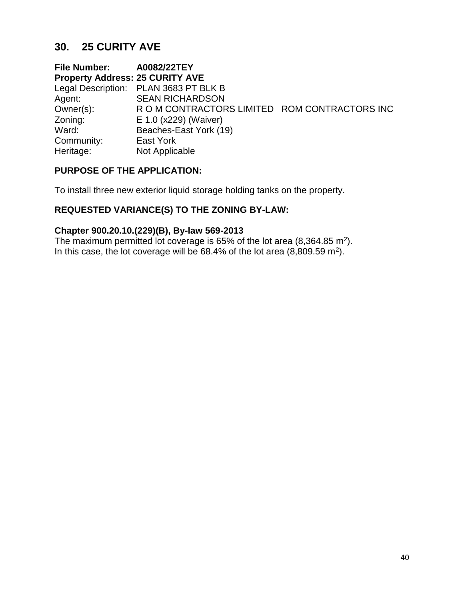# **30. 25 CURITY AVE**

**File Number: A0082/22TEY Property Address: 25 CURITY AVE**  Legal Description: PLAN 3683 PT BLK B Agent: SEAN RICHARDSON Owner(s): R O M CONTRACTORS LIMITED ROM CONTRACTORS INC Zoning: E 1.0 (x229) (Waiver) Ward: Beaches-East York (19) Community: East York Heritage: Not Applicable

### **PURPOSE OF THE APPLICATION:**

To install three new exterior liquid storage holding tanks on the property.

## **REQUESTED VARIANCE(S) TO THE ZONING BY-LAW:**

#### **Chapter 900.20.10.(229)(B), By-law 569-2013**

The maximum permitted lot coverage is 65% of the lot area (8,364.85 m<sup>2</sup>). In this case, the lot coverage will be  $68.4\%$  of the lot area  $(8,809.59 \text{ m}^2)$ .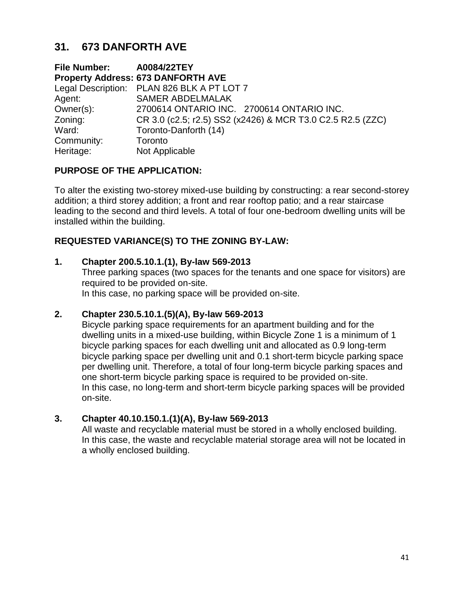# **31. 673 DANFORTH AVE**

**File Number: A0084/22TEY Property Address: 673 DANFORTH AVE**  Legal Description: PLAN 826 BLK A PT LOT 7 Agent: SAMER ABDELMALAK Owner(s): 2700614 ONTARIO INC. 2700614 ONTARIO INC. Zoning: CR 3.0 (c2.5; r2.5) SS2 (x2426) & MCR T3.0 C2.5 R2.5 (ZZC) Ward: Toronto-Danforth (14) Community: Toronto Heritage: Not Applicable

## **PURPOSE OF THE APPLICATION:**

To alter the existing two-storey mixed-use building by constructing: a rear second-storey addition; a third storey addition; a front and rear rooftop patio; and a rear staircase leading to the second and third levels. A total of four one-bedroom dwelling units will be installed within the building.

### **REQUESTED VARIANCE(S) TO THE ZONING BY-LAW:**

#### **1. Chapter 200.5.10.1.(1), By-law 569-2013**

Three parking spaces (two spaces for the tenants and one space for visitors) are required to be provided on-site.

In this case, no parking space will be provided on-site.

#### **2. Chapter 230.5.10.1.(5)(A), By-law 569-2013**

Bicycle parking space requirements for an apartment building and for the dwelling units in a mixed-use building, within Bicycle Zone 1 is a minimum of 1 bicycle parking spaces for each dwelling unit and allocated as 0.9 long-term bicycle parking space per dwelling unit and 0.1 short-term bicycle parking space per dwelling unit. Therefore, a total of four long-term bicycle parking spaces and one short-term bicycle parking space is required to be provided on-site. In this case, no long-term and short-term bicycle parking spaces will be provided on-site.

#### **3. Chapter 40.10.150.1.(1)(A), By-law 569-2013**

All waste and recyclable material must be stored in a wholly enclosed building. In this case, the waste and recyclable material storage area will not be located in a wholly enclosed building.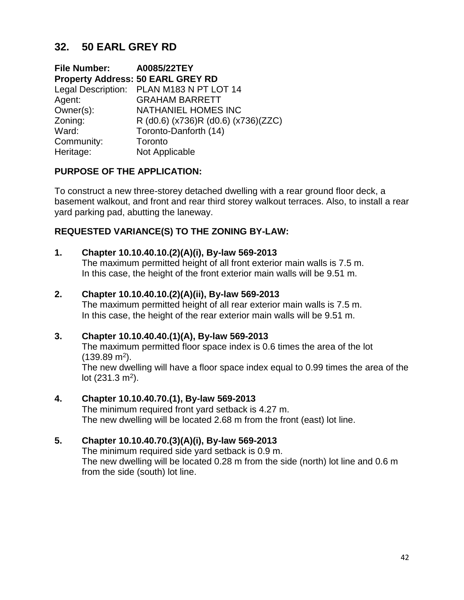# **32. 50 EARL GREY RD**

**File Number: A0085/22TEY Property Address: 50 EARL GREY RD** Legal Description: PLAN M183 N PT LOT 14 Agent: GRAHAM BARRETT Owner(s): NATHANIEL HOMES INC Zoning: R (d0.6) (x736)R (d0.6) (x736)(ZZC) Ward: Toronto-Danforth (14) Community: Toronto Heritage: Not Applicable

## **PURPOSE OF THE APPLICATION:**

To construct a new three-storey detached dwelling with a rear ground floor deck, a basement walkout, and front and rear third storey walkout terraces. Also, to install a rear yard parking pad, abutting the laneway.

## **REQUESTED VARIANCE(S) TO THE ZONING BY-LAW:**

### **1. Chapter 10.10.40.10.(2)(A)(i), By-law 569-2013**

The maximum permitted height of all front exterior main walls is 7.5 m. In this case, the height of the front exterior main walls will be 9.51 m.

### **2. Chapter 10.10.40.10.(2)(A)(ii), By-law 569-2013**

The maximum permitted height of all rear exterior main walls is 7.5 m. In this case, the height of the rear exterior main walls will be 9.51 m.

## **3. Chapter 10.10.40.40.(1)(A), By-law 569-2013**

The maximum permitted floor space index is 0.6 times the area of the lot  $(139.89 \text{ m}^2).$ 

The new dwelling will have a floor space index equal to 0.99 times the area of the lot  $(231.3 \text{ m}^2)$ .

#### **4. Chapter 10.10.40.70.(1), By-law 569-2013**

The minimum required front yard setback is 4.27 m. The new dwelling will be located 2.68 m from the front (east) lot line.

## **5. Chapter 10.10.40.70.(3)(A)(i), By-law 569-2013**

The minimum required side yard setback is 0.9 m. The new dwelling will be located 0.28 m from the side (north) lot line and 0.6 m from the side (south) lot line.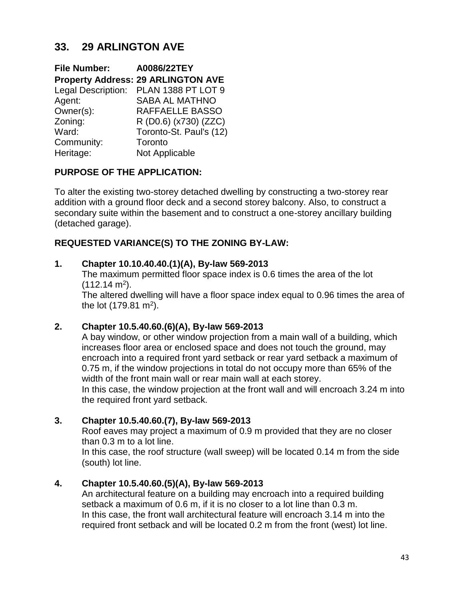# **33. 29 ARLINGTON AVE**

| <b>File Number:</b> | A0086/22TEY                               |
|---------------------|-------------------------------------------|
|                     | <b>Property Address: 29 ARLINGTON AVE</b> |
|                     | Legal Description: PLAN 1388 PT LOT 9     |
| Agent:              | <b>SABA AL MATHNO</b>                     |
| Owner(s):           | RAFFAELLE BASSO                           |
| Zoning:             | R (D0.6) (x730) (ZZC)                     |
| Ward:               | Toronto-St. Paul's (12)                   |
| Community:          | Toronto                                   |
| Heritage:           | Not Applicable                            |

## **PURPOSE OF THE APPLICATION:**

To alter the existing two-storey detached dwelling by constructing a two-storey rear addition with a ground floor deck and a second storey balcony. Also, to construct a secondary suite within the basement and to construct a one-storey ancillary building (detached garage).

## **REQUESTED VARIANCE(S) TO THE ZONING BY-LAW:**

## **1. Chapter 10.10.40.40.(1)(A), By-law 569-2013**

The maximum permitted floor space index is 0.6 times the area of the lot  $(112.14 \text{ m}^2).$ 

The altered dwelling will have a floor space index equal to 0.96 times the area of the lot  $(179.81 \text{ m}^2)$ .

## **2. Chapter 10.5.40.60.(6)(A), By-law 569-2013**

A bay window, or other window projection from a main wall of a building, which increases floor area or enclosed space and does not touch the ground, may encroach into a required front yard setback or rear yard setback a maximum of 0.75 m, if the window projections in total do not occupy more than 65% of the width of the front main wall or rear main wall at each storey.

In this case, the window projection at the front wall and will encroach 3.24 m into the required front yard setback.

## **3. Chapter 10.5.40.60.(7), By-law 569-2013**

Roof eaves may project a maximum of 0.9 m provided that they are no closer than 0.3 m to a lot line.

In this case, the roof structure (wall sweep) will be located 0.14 m from the side (south) lot line.

## **4. Chapter 10.5.40.60.(5)(A), By-law 569-2013**

An architectural feature on a building may encroach into a required building setback a maximum of 0.6 m, if it is no closer to a lot line than 0.3 m. In this case, the front wall architectural feature will encroach 3.14 m into the required front setback and will be located 0.2 m from the front (west) lot line.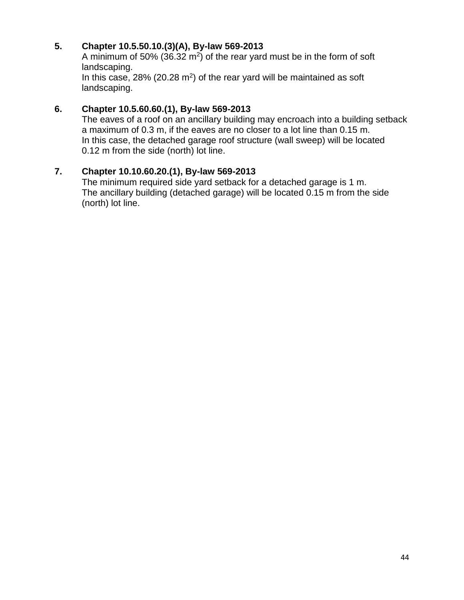## **5. Chapter 10.5.50.10.(3)(A), By-law 569-2013**

A minimum of 50% (36.32  $m^2$ ) of the rear yard must be in the form of soft landscaping. In this case,  $28\%$  (20.28 m<sup>2</sup>) of the rear yard will be maintained as soft

landscaping.

## **6. Chapter 10.5.60.60.(1), By-law 569-2013**

The eaves of a roof on an ancillary building may encroach into a building setback a maximum of 0.3 m, if the eaves are no closer to a lot line than 0.15 m. In this case, the detached garage roof structure (wall sweep) will be located 0.12 m from the side (north) lot line.

## **7. Chapter 10.10.60.20.(1), By-law 569-2013**

The minimum required side yard setback for a detached garage is 1 m. The ancillary building (detached garage) will be located 0.15 m from the side (north) lot line.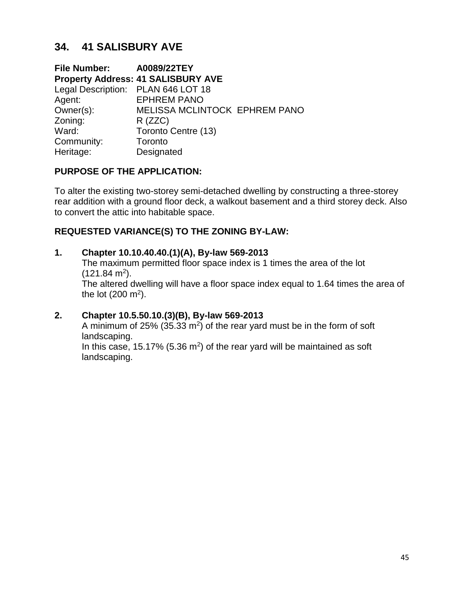# **34. 41 SALISBURY AVE**

**File Number: A0089/22TEY Property Address: 41 SALISBURY AVE**  Legal Description: PLAN 646 LOT 18 Agent: EPHREM PANO Owner(s): MELISSA MCLINTOCK EPHREM PANO Zoning: R (ZZC) Ward: Toronto Centre (13) Community: Toronto Heritage: Designated

## **PURPOSE OF THE APPLICATION:**

To alter the existing two-storey semi-detached dwelling by constructing a three-storey rear addition with a ground floor deck, a walkout basement and a third storey deck. Also to convert the attic into habitable space.

## **REQUESTED VARIANCE(S) TO THE ZONING BY-LAW:**

### **1. Chapter 10.10.40.40.(1)(A), By-law 569-2013**

The maximum permitted floor space index is 1 times the area of the lot  $(121.84 \text{ m}^2).$ 

The altered dwelling will have a floor space index equal to 1.64 times the area of the lot  $(200 \text{ m}^2)$ .

## **2. Chapter 10.5.50.10.(3)(B), By-law 569-2013**

A minimum of 25% (35.33  $m^2$ ) of the rear yard must be in the form of soft landscaping.

In this case, 15.17% (5.36  $m<sup>2</sup>$ ) of the rear yard will be maintained as soft landscaping.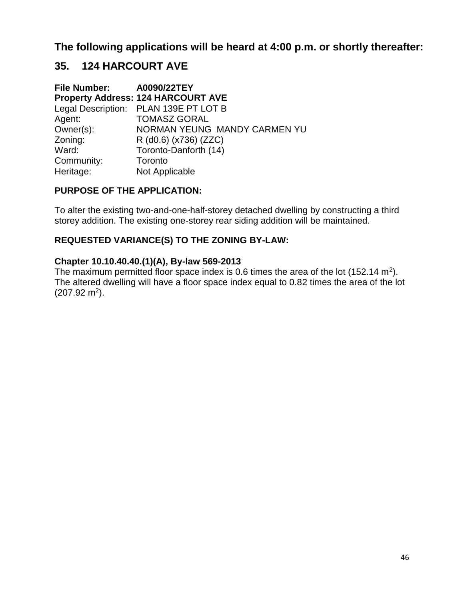## **The following applications will be heard at 4:00 p.m. or shortly thereafter:**

# **35. 124 HARCOURT AVE**

| File Number: A0090/22TEY |                                           |
|--------------------------|-------------------------------------------|
|                          | <b>Property Address: 124 HARCOURT AVE</b> |
|                          | Legal Description: PLAN 139E PT LOT B     |
| Agent:                   | <b>TOMASZ GORAL</b>                       |
| Owner(s):                | NORMAN YEUNG MANDY CARMEN YU              |
| Zoning:                  | R (d0.6) (x736) (ZZC)                     |
| Ward:                    | Toronto-Danforth (14)                     |
| Community:               | Toronto                                   |
| Heritage:                | Not Applicable                            |

#### **PURPOSE OF THE APPLICATION:**

To alter the existing two-and-one-half-storey detached dwelling by constructing a third storey addition. The existing one-storey rear siding addition will be maintained.

#### **REQUESTED VARIANCE(S) TO THE ZONING BY-LAW:**

#### **Chapter 10.10.40.40.(1)(A), By-law 569-2013**

The maximum permitted floor space index is 0.6 times the area of the lot (152.14 m<sup>2</sup>). The altered dwelling will have a floor space index equal to 0.82 times the area of the lot  $(207.92 \text{ m}^2).$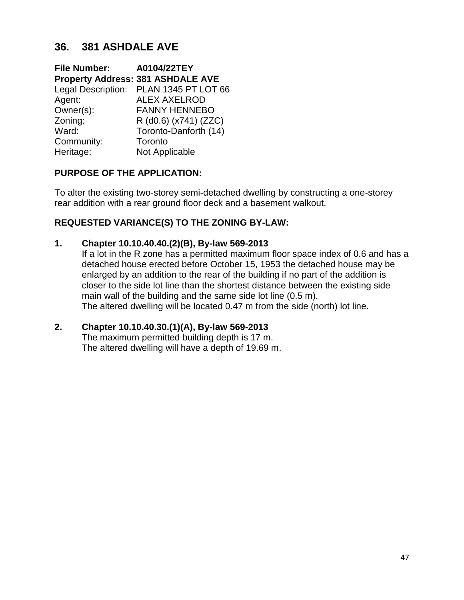# **36. 381 ASHDALE AVE**

**File Number: A0104/22TEY Property Address: 381 ASHDALE AVE**  Legal Description: PLAN 1345 PT LOT 66 Agent: ALEX AXELROD Owner(s): FANNY HENNEBO Zoning: R (d0.6) (x741) (ZZC) Ward: Toronto-Danforth (14) Community: Toronto Heritage: Not Applicable

## **PURPOSE OF THE APPLICATION:**

To alter the existing two-storey semi-detached dwelling by constructing a one-storey rear addition with a rear ground floor deck and a basement walkout.

### **REQUESTED VARIANCE(S) TO THE ZONING BY-LAW:**

#### **1. Chapter 10.10.40.40.(2)(B), By-law 569-2013**

If a lot in the R zone has a permitted maximum floor space index of 0.6 and has a detached house erected before October 15, 1953 the detached house may be enlarged by an addition to the rear of the building if no part of the addition is closer to the side lot line than the shortest distance between the existing side main wall of the building and the same side lot line (0.5 m). The altered dwelling will be located 0.47 m from the side (north) lot line.

#### **2. Chapter 10.10.40.30.(1)(A), By-law 569-2013**

The maximum permitted building depth is 17 m. The altered dwelling will have a depth of 19.69 m.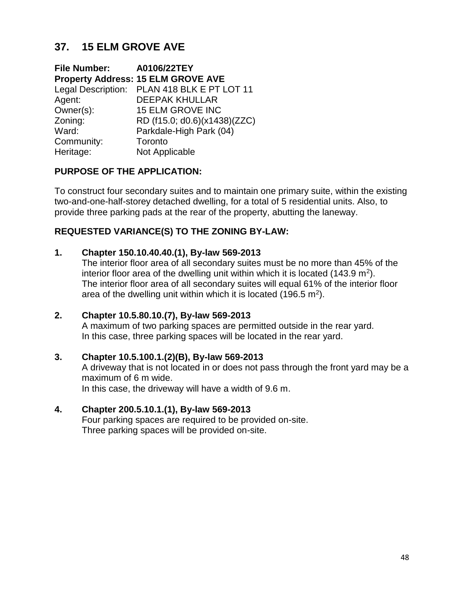# **37. 15 ELM GROVE AVE**

**File Number: A0106/22TEY Property Address: 15 ELM GROVE AVE** Legal Description: PLAN 418 BLK E PT LOT 11 Agent: DEEPAK KHULLAR Owner(s): 15 ELM GROVE INC Zoning: RD (f15.0; d0.6)(x1438)(ZZC) Ward: Parkdale-High Park (04) Community: Toronto Heritage: Not Applicable

## **PURPOSE OF THE APPLICATION:**

To construct four secondary suites and to maintain one primary suite, within the existing two-and-one-half-storey detached dwelling, for a total of 5 residential units. Also, to provide three parking pads at the rear of the property, abutting the laneway.

## **REQUESTED VARIANCE(S) TO THE ZONING BY-LAW:**

### **1. Chapter 150.10.40.40.(1), By-law 569-2013**

The interior floor area of all secondary suites must be no more than 45% of the interior floor area of the dwelling unit within which it is located (143.9 m<sup>2</sup>). The interior floor area of all secondary suites will equal 61% of the interior floor area of the dwelling unit within which it is located (196.5 m<sup>2</sup>).

## **2. Chapter 10.5.80.10.(7), By-law 569-2013**

A maximum of two parking spaces are permitted outside in the rear yard. In this case, three parking spaces will be located in the rear yard.

## **3. Chapter 10.5.100.1.(2)(B), By-law 569-2013**

A driveway that is not located in or does not pass through the front yard may be a maximum of 6 m wide.

In this case, the driveway will have a width of 9.6 m.

## **4. Chapter 200.5.10.1.(1), By-law 569-2013**

Four parking spaces are required to be provided on-site. Three parking spaces will be provided on-site.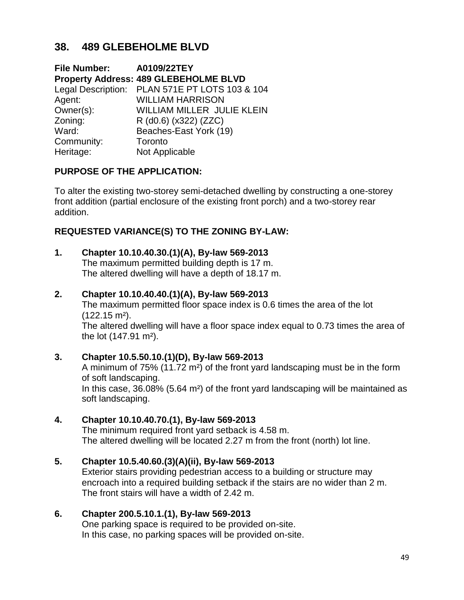# **38. 489 GLEBEHOLME BLVD**

**File Number: A0109/22TEY Property Address: 489 GLEBEHOLME BLVD**  Legal Description: PLAN 571E PT LOTS 103 & 104 Agent: WILLIAM HARRISON Owner(s): WILLIAM MILLER JULIE KLEIN Zoning: R (d0.6) (x322) (ZZC) Ward: Beaches-East York (19) Community: Toronto Heritage: Not Applicable

## **PURPOSE OF THE APPLICATION:**

To alter the existing two-storey semi-detached dwelling by constructing a one-storey front addition (partial enclosure of the existing front porch) and a two-storey rear addition.

## **REQUESTED VARIANCE(S) TO THE ZONING BY-LAW:**

### **1. Chapter 10.10.40.30.(1)(A), By-law 569-2013**

The maximum permitted building depth is 17 m. The altered dwelling will have a depth of 18.17 m.

#### **2. Chapter 10.10.40.40.(1)(A), By-law 569-2013**

The maximum permitted floor space index is 0.6 times the area of the lot (122.15 m²).

The altered dwelling will have a floor space index equal to 0.73 times the area of the lot (147.91 m²).

#### **3. Chapter 10.5.50.10.(1)(D), By-law 569-2013** A minimum of 75% (11.72 m²) of the front yard landscaping must be in the form

of soft landscaping. In this case, 36.08% (5.64 m²) of the front yard landscaping will be maintained as soft landscaping.

#### **4. Chapter 10.10.40.70.(1), By-law 569-2013**

The minimum required front yard setback is 4.58 m. The altered dwelling will be located 2.27 m from the front (north) lot line.

#### **5. Chapter 10.5.40.60.(3)(A)(ii), By-law 569-2013**

Exterior stairs providing pedestrian access to a building or structure may encroach into a required building setback if the stairs are no wider than 2 m. The front stairs will have a width of 2.42 m.

#### **6. Chapter 200.5.10.1.(1), By-law 569-2013**

One parking space is required to be provided on-site. In this case, no parking spaces will be provided on-site.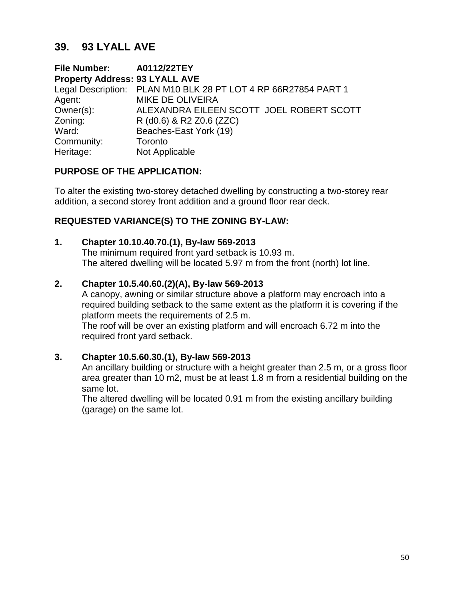## **39. 93 LYALL AVE**

**File Number: A0112/22TEY Property Address: 93 LYALL AVE**  Legal Description: PLAN M10 BLK 28 PT LOT 4 RP 66R27854 PART 1 Agent: MIKE DE OLIVEIRA Owner(s): ALEXANDRA EILEEN SCOTT JOEL ROBERT SCOTT Zoning: R (d0.6) & R2 Z0.6 (ZZC) Ward: Beaches-East York (19) Community: Toronto Heritage: Not Applicable

## **PURPOSE OF THE APPLICATION:**

To alter the existing two-storey detached dwelling by constructing a two-storey rear addition, a second storey front addition and a ground floor rear deck.

### **REQUESTED VARIANCE(S) TO THE ZONING BY-LAW:**

#### **1. Chapter 10.10.40.70.(1), By-law 569-2013**

The minimum required front yard setback is 10.93 m. The altered dwelling will be located 5.97 m from the front (north) lot line.

#### **2. Chapter 10.5.40.60.(2)(A), By-law 569-2013**

A canopy, awning or similar structure above a platform may encroach into a required building setback to the same extent as the platform it is covering if the platform meets the requirements of 2.5 m.

The roof will be over an existing platform and will encroach 6.72 m into the required front yard setback.

#### **3. Chapter 10.5.60.30.(1), By-law 569-2013**

An ancillary building or structure with a height greater than 2.5 m, or a gross floor area greater than 10 m2, must be at least 1.8 m from a residential building on the same lot.

The altered dwelling will be located 0.91 m from the existing ancillary building (garage) on the same lot.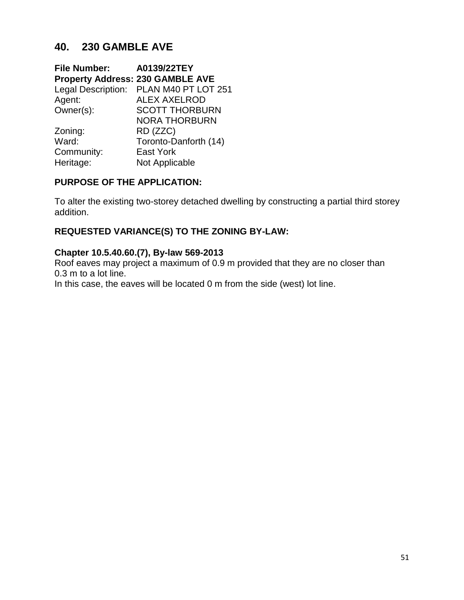# **40. 230 GAMBLE AVE**

| <b>File Number:</b>                     | A0139/22TEY                            |
|-----------------------------------------|----------------------------------------|
| <b>Property Address: 230 GAMBLE AVE</b> |                                        |
|                                         | Legal Description: PLAN M40 PT LOT 251 |
| Agent:                                  | <b>ALEX AXELROD</b>                    |
| Owner(s):                               | <b>SCOTT THORBURN</b>                  |
|                                         | <b>NORA THORBURN</b>                   |
| Zoning:                                 | RD (ZZC)                               |
| Ward:                                   | Toronto-Danforth (14)                  |
| Community:                              | <b>East York</b>                       |
| Heritage:                               | Not Applicable                         |

### **PURPOSE OF THE APPLICATION:**

To alter the existing two-storey detached dwelling by constructing a partial third storey addition.

## **REQUESTED VARIANCE(S) TO THE ZONING BY-LAW:**

## **Chapter 10.5.40.60.(7), By-law 569-2013**

Roof eaves may project a maximum of 0.9 m provided that they are no closer than 0.3 m to a lot line.

In this case, the eaves will be located 0 m from the side (west) lot line.